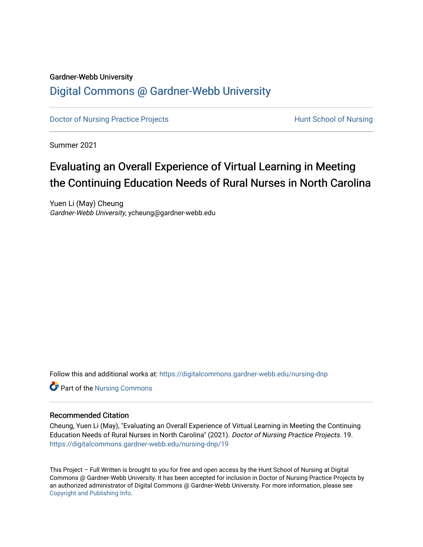# Gardner-Webb University [Digital Commons @ Gardner-Webb University](https://digitalcommons.gardner-webb.edu/)

[Doctor of Nursing Practice Projects](https://digitalcommons.gardner-webb.edu/nursing-dnp) **Exercise Exercise Serverse Hunt School of Nursing** 

Summer 2021

# Evaluating an Overall Experience of Virtual Learning in Meeting the Continuing Education Needs of Rural Nurses in North Carolina

Yuen Li (May) Cheung Gardner-Webb University, ycheung@gardner-webb.edu

Follow this and additional works at: [https://digitalcommons.gardner-webb.edu/nursing-dnp](https://digitalcommons.gardner-webb.edu/nursing-dnp?utm_source=digitalcommons.gardner-webb.edu%2Fnursing-dnp%2F19&utm_medium=PDF&utm_campaign=PDFCoverPages) 

**C** Part of the Nursing Commons

## Recommended Citation

Cheung, Yuen Li (May), "Evaluating an Overall Experience of Virtual Learning in Meeting the Continuing Education Needs of Rural Nurses in North Carolina" (2021). Doctor of Nursing Practice Projects. 19. [https://digitalcommons.gardner-webb.edu/nursing-dnp/19](https://digitalcommons.gardner-webb.edu/nursing-dnp/19?utm_source=digitalcommons.gardner-webb.edu%2Fnursing-dnp%2F19&utm_medium=PDF&utm_campaign=PDFCoverPages)

This Project – Full Written is brought to you for free and open access by the Hunt School of Nursing at Digital Commons @ Gardner-Webb University. It has been accepted for inclusion in Doctor of Nursing Practice Projects by an authorized administrator of Digital Commons @ Gardner-Webb University. For more information, please see [Copyright and Publishing Info.](https://digitalcommons.gardner-webb.edu/copyright_publishing.html)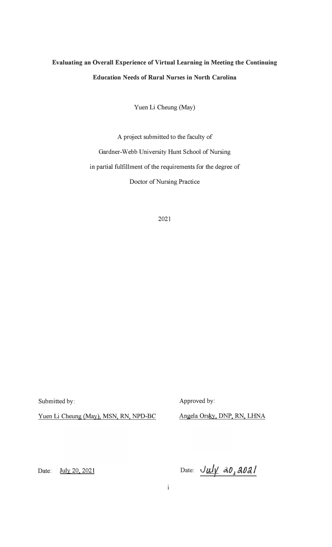# **Evaluating an Overall Experience of Virtual Learning in Meeting the Continuing Education Needs of Rural Nurses in North Carolina**

Yuen Li Cheung (May)

A project submitted to the faculty of Gardner-Webb University Hunt School of Nursing in partial fulfillment of the requirements for the degree of Doctor of Nursing Practice

2021

Submitted by:

Approved by:

Yuen Li Cheung (May), MSN, RN, NPD-BC

Angela Orsky, DNP, RN, LHNA

Date: July 20, 2021

Date:  $J \mu / \mu 40, 202$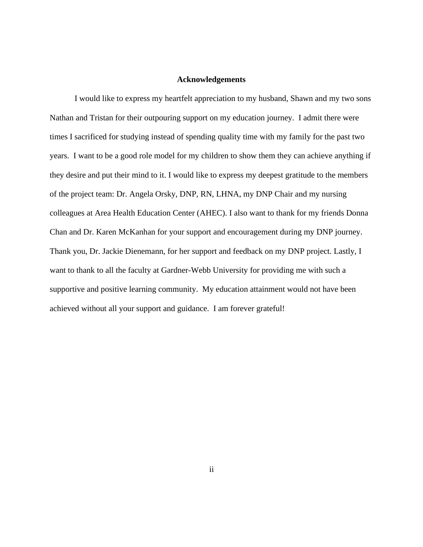## **Acknowledgements**

I would like to express my heartfelt appreciation to my husband, Shawn and my two sons Nathan and Tristan for their outpouring support on my education journey. I admit there were times I sacrificed for studying instead of spending quality time with my family for the past two years. I want to be a good role model for my children to show them they can achieve anything if they desire and put their mind to it. I would like to express my deepest gratitude to the members of the project team: Dr. Angela Orsky, DNP, RN, LHNA, my DNP Chair and my nursing colleagues at Area Health Education Center (AHEC). I also want to thank for my friends Donna Chan and Dr. Karen McKanhan for your support and encouragement during my DNP journey. Thank you, Dr. Jackie Dienemann, for her support and feedback on my DNP project. Lastly, I want to thank to all the faculty at Gardner-Webb University for providing me with such a supportive and positive learning community. My education attainment would not have been achieved without all your support and guidance. I am forever grateful!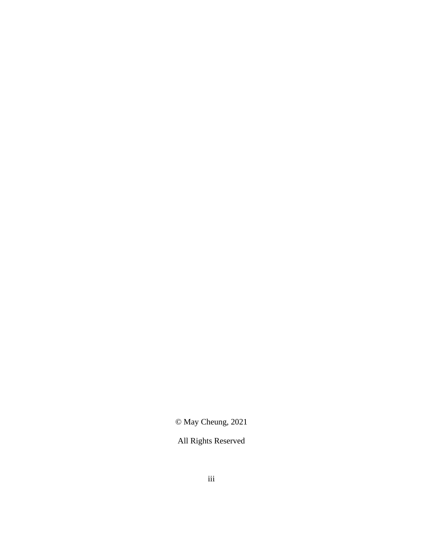© May Cheung, 2021

All Rights Reserved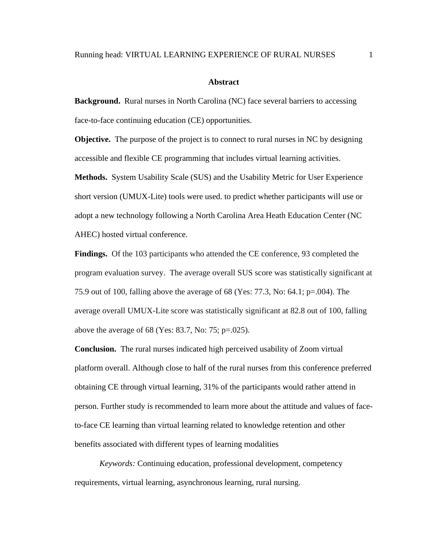#### **Abstract**

**Background.** Rural nurses in North Carolina (NC) face several barriers to accessing face-to-face continuing education (CE) opportunities.

**Objective.** The purpose of the project is to connect to rural nurses in NC by designing accessible and flexible CE programming that includes virtual learning activities.

**Methods.** System Usability Scale (SUS) and the Usability Metric for User Experience short version (UMUX-Lite) tools were used. to predict whether participants will use or adopt a new technology following a North Carolina Area Heath Education Center (NC AHEC) hosted virtual conference.

**Findings.** Of the 103 participants who attended the CE conference, 93 completed the program evaluation survey. The average overall SUS score was statistically significant at 75.9 out of 100, falling above the average of 68 (Yes: 77.3, No: 64.1; p=.004). The average overall UMUX-Lite score was statistically significant at 82.8 out of 100, falling above the average of 68 (Yes: 83.7, No: 75; p=.025).

**Conclusion.** The rural nurses indicated high perceived usability of Zoom virtual platform overall. Although close to half of the rural nurses from this conference preferred obtaining CE through virtual learning, 31% of the participants would rather attend in person. Further study is recommended to learn more about the attitude and values of faceto-face CE learning than virtual learning related to knowledge retention and other benefits associated with different types of learning modalities

*Keywords:* Continuing education, professional development, competency requirements, virtual learning, asynchronous learning, rural nursing.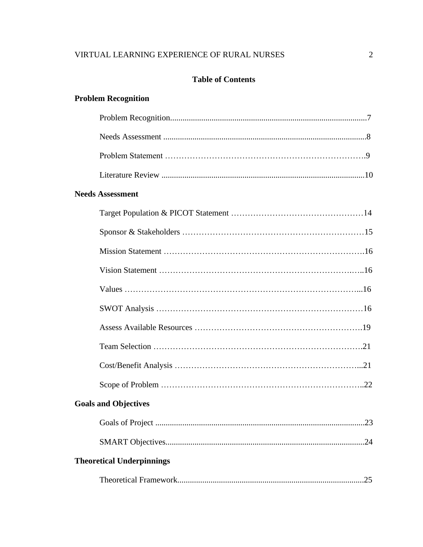# **Table of Contents**

# **Problem Recognition**

| <b>Needs Assessment</b>          |
|----------------------------------|
|                                  |
|                                  |
|                                  |
|                                  |
|                                  |
|                                  |
|                                  |
|                                  |
|                                  |
|                                  |
| <b>Goals and Objectives</b>      |
|                                  |
|                                  |
| <b>Theoretical Underpinnings</b> |
| .25                              |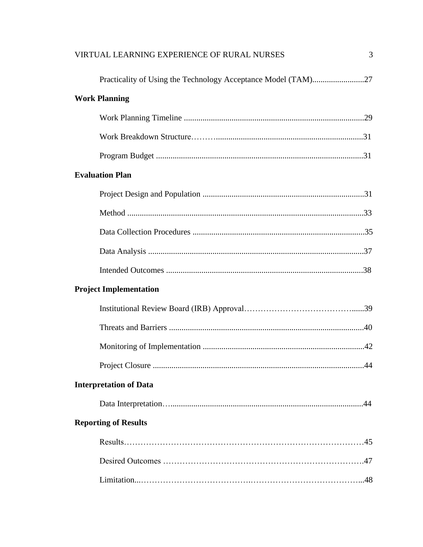| VIRTUAL LEARNING EXPERIENCE OF RURAL NURSES | 3 |
|---------------------------------------------|---|
|                                             |   |
| <b>Work Planning</b>                        |   |
|                                             |   |
|                                             |   |
|                                             |   |
| <b>Evaluation Plan</b>                      |   |
|                                             |   |
|                                             |   |
|                                             |   |
|                                             |   |
|                                             |   |
| <b>Project Implementation</b>               |   |
|                                             |   |
|                                             |   |
|                                             |   |
|                                             |   |
| <b>Interpretation of Data</b>               |   |
|                                             |   |
| <b>Reporting of Results</b>                 |   |
|                                             |   |
|                                             |   |
|                                             |   |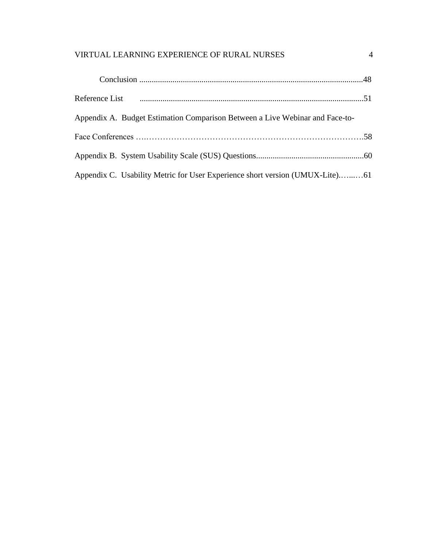| Appendix A. Budget Estimation Comparison Between a Live Webinar and Face-to- |  |
|------------------------------------------------------------------------------|--|
|                                                                              |  |
|                                                                              |  |
| Appendix C. Usability Metric for User Experience short version (UMUX-Lite)61 |  |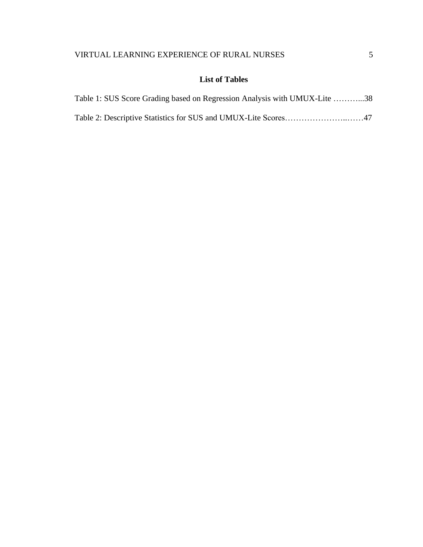# **List of Tables**

| Table 1: SUS Score Grading based on Regression Analysis with UMUX-Lite 38 |  |
|---------------------------------------------------------------------------|--|
|                                                                           |  |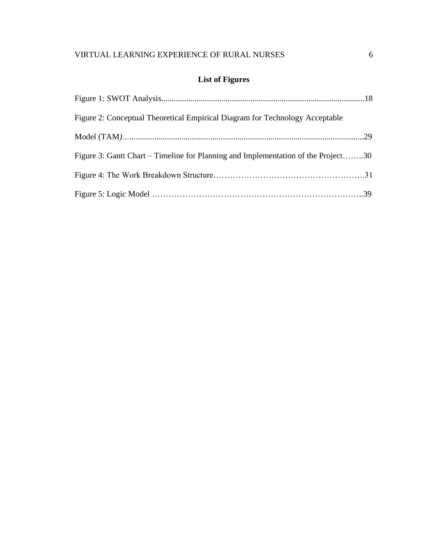# **List of Figures**

| Figure 2: Conceptual Theoretical Empirical Diagram for Technology Acceptable      |  |
|-----------------------------------------------------------------------------------|--|
|                                                                                   |  |
| Figure 3: Gantt Chart – Timeline for Planning and Implementation of the Project30 |  |
|                                                                                   |  |
|                                                                                   |  |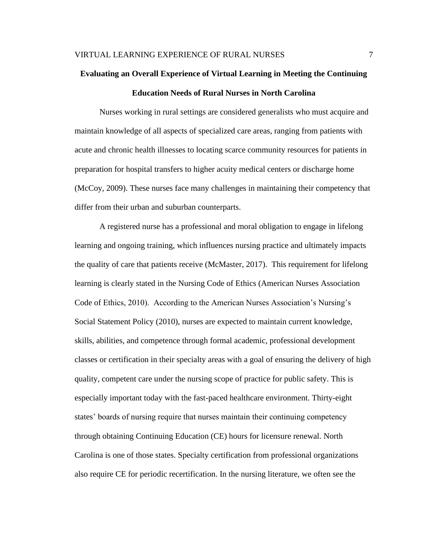# **Evaluating an Overall Experience of Virtual Learning in Meeting the Continuing Education Needs of Rural Nurses in North Carolina**

Nurses working in rural settings are considered generalists who must acquire and maintain knowledge of all aspects of specialized care areas, ranging from patients with acute and chronic health illnesses to locating scarce community resources for patients in preparation for hospital transfers to higher acuity medical centers or discharge home (McCoy, 2009). These nurses face many challenges in maintaining their competency that differ from their urban and suburban counterparts.

A registered nurse has a professional and moral obligation to engage in lifelong learning and ongoing training, which influences nursing practice and ultimately impacts the quality of care that patients receive (McMaster, 2017). This requirement for lifelong learning is clearly stated in the Nursing Code of Ethics (American Nurses Association Code of Ethics, 2010). According to the American Nurses Association's Nursing's Social Statement Policy (2010), nurses are expected to maintain current knowledge, skills, abilities, and competence through formal academic, professional development classes or certification in their specialty areas with a goal of ensuring the delivery of high quality, competent care under the nursing scope of practice for public safety. This is especially important today with the fast-paced healthcare environment. Thirty-eight states' boards of nursing require that nurses maintain their continuing competency through obtaining Continuing Education (CE) hours for licensure renewal. North Carolina is one of those states. Specialty certification from professional organizations also require CE for periodic recertification. In the nursing literature, we often see the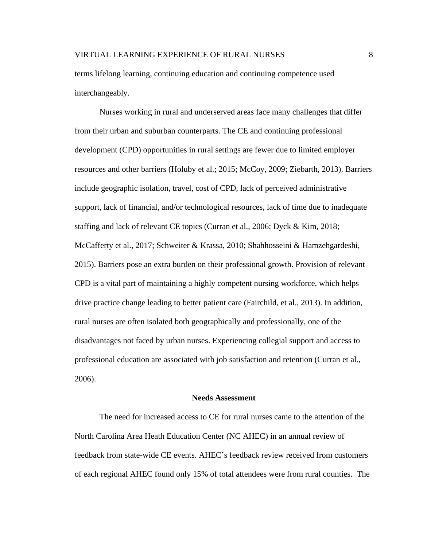terms lifelong learning, continuing education and continuing competence used interchangeably.

Nurses working in rural and underserved areas face many challenges that differ from their urban and suburban counterparts. The CE and continuing professional development (CPD) opportunities in rural settings are fewer due to limited employer resources and other barriers (Holuby et al.; 2015; McCoy, 2009; Ziebarth, 2013). Barriers include geographic isolation, travel, cost of CPD, lack of perceived administrative support, lack of financial, and/or technological resources, lack of time due to inadequate staffing and lack of relevant CE topics (Curran et al., 2006; Dyck & Kim, 2018; McCafferty et al., 2017; Schweiter & Krassa, 2010; Shahhosseini & Hamzehgardeshi, 2015). Barriers pose an extra burden on their professional growth. Provision of relevant CPD is a vital part of maintaining a highly competent nursing workforce, which helps drive practice change leading to better patient care (Fairchild, et al., 2013). In addition, rural nurses are often isolated both geographically and professionally, one of the disadvantages not faced by urban nurses. Experiencing collegial support and access to professional education are associated with job satisfaction and retention (Curran et al., 2006).

#### **Needs Assessment**

The need for increased access to CE for rural nurses came to the attention of the North Carolina Area Heath Education Center (NC AHEC) in an annual review of feedback from state-wide CE events. AHEC's feedback review received from customers of each regional AHEC found only 15% of total attendees were from rural counties. The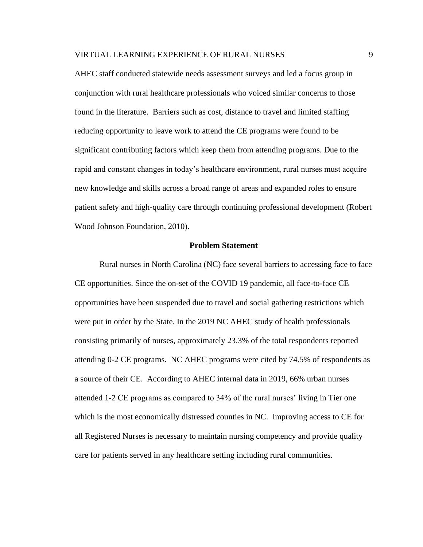AHEC staff conducted statewide needs assessment surveys and led a focus group in conjunction with rural healthcare professionals who voiced similar concerns to those found in the literature. Barriers such as cost, distance to travel and limited staffing reducing opportunity to leave work to attend the CE programs were found to be significant contributing factors which keep them from attending programs. Due to the rapid and constant changes in today's healthcare environment, rural nurses must acquire new knowledge and skills across a broad range of areas and expanded roles to ensure patient safety and high-quality care through continuing professional development (Robert Wood Johnson Foundation, 2010).

## **Problem Statement**

Rural nurses in North Carolina (NC) face several barriers to accessing face to face CE opportunities. Since the on-set of the COVID 19 pandemic, all face-to-face CE opportunities have been suspended due to travel and social gathering restrictions which were put in order by the State. In the 2019 NC AHEC study of health professionals consisting primarily of nurses, approximately 23.3% of the total respondents reported attending 0-2 CE programs. NC AHEC programs were cited by 74.5% of respondents as a source of their CE. According to AHEC internal data in 2019, 66% urban nurses attended 1-2 CE programs as compared to 34% of the rural nurses' living in Tier one which is the most economically distressed counties in NC. Improving access to CE for all Registered Nurses is necessary to maintain nursing competency and provide quality care for patients served in any healthcare setting including rural communities.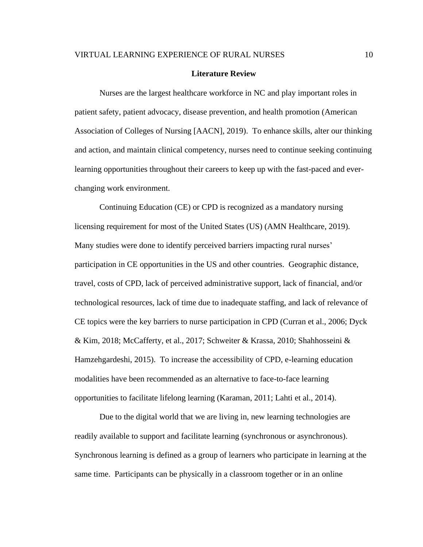#### **Literature Review**

Nurses are the largest healthcare workforce in NC and play important roles in patient safety, patient advocacy, disease prevention, and health promotion (American Association of Colleges of Nursing [AACN], 2019). To enhance skills, alter our thinking and action, and maintain clinical competency, nurses need to continue seeking continuing learning opportunities throughout their careers to keep up with the fast-paced and everchanging work environment.

Continuing Education (CE) or CPD is recognized as a mandatory nursing licensing requirement for most of the United States (US) (AMN Healthcare, 2019). Many studies were done to identify perceived barriers impacting rural nurses' participation in CE opportunities in the US and other countries. Geographic distance, travel, costs of CPD, lack of perceived administrative support, lack of financial, and/or technological resources, lack of time due to inadequate staffing, and lack of relevance of CE topics were the key barriers to nurse participation in CPD (Curran et al., 2006; Dyck & Kim, 2018; McCafferty, et al., 2017; Schweiter & Krassa, 2010; Shahhosseini & Hamzehgardeshi, 2015). To increase the accessibility of CPD, e-learning education modalities have been recommended as an alternative to face-to-face learning opportunities to facilitate lifelong learning (Karaman, 2011; Lahti et al., 2014).

Due to the digital world that we are living in, new learning technologies are readily available to support and facilitate learning (synchronous or asynchronous). Synchronous learning is defined as a group of learners who participate in learning at the same time. Participants can be physically in a classroom together or in an online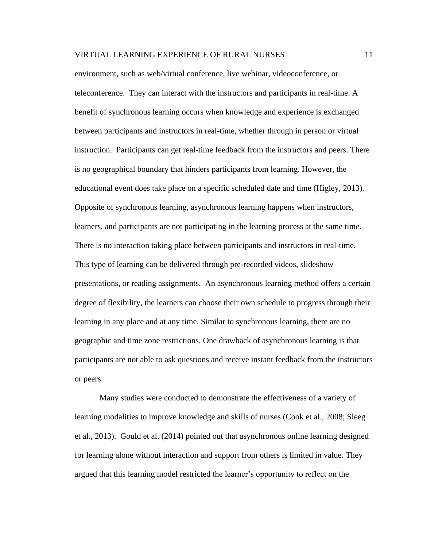environment, such as web/virtual conference, live webinar, videoconference, or teleconference. They can interact with the instructors and participants in real-time. A benefit of synchronous learning occurs when knowledge and experience is exchanged between participants and instructors in real-time, whether through in person or virtual instruction. Participants can get real-time feedback from the instructors and peers. There is no geographical boundary that hinders participants from learning. However, the educational event does take place on a specific scheduled date and time (Higley, 2013). Opposite of synchronous learning, asynchronous learning happens when instructors, learners, and participants are not participating in the learning process at the same time. There is no interaction taking place between participants and instructors in real-time. This type of learning can be delivered through pre-recorded videos, slideshow presentations, or reading assignments. An asynchronous learning method offers a certain degree of flexibility, the learners can choose their own schedule to progress through their learning in any place and at any time. Similar to synchronous learning, there are no geographic and time zone restrictions. One drawback of asynchronous learning is that participants are not able to ask questions and receive instant feedback from the instructors or peers.

Many studies were conducted to demonstrate the effectiveness of a variety of learning modalities to improve knowledge and skills of nurses (Cook et al., 2008; Sleeg et al., 2013). Gould et al. (2014) pointed out that asynchronous online learning designed for learning alone without interaction and support from others is limited in value. They argued that this learning model restricted the learner's opportunity to reflect on the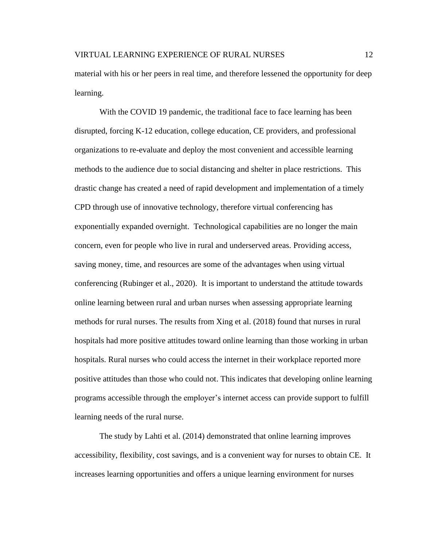material with his or her peers in real time, and therefore lessened the opportunity for deep learning.

With the COVID 19 pandemic, the traditional face to face learning has been disrupted, forcing K-12 education, college education, CE providers, and professional organizations to re-evaluate and deploy the most convenient and accessible learning methods to the audience due to social distancing and shelter in place restrictions. This drastic change has created a need of rapid development and implementation of a timely CPD through use of innovative technology, therefore virtual conferencing has exponentially expanded overnight. Technological capabilities are no longer the main concern, even for people who live in rural and underserved areas. Providing access, saving money, time, and resources are some of the advantages when using virtual conferencing (Rubinger et al., 2020). It is important to understand the attitude towards online learning between rural and urban nurses when assessing appropriate learning methods for rural nurses. The results from Xing et al. (2018) found that nurses in rural hospitals had more positive attitudes toward online learning than those working in urban hospitals. Rural nurses who could access the internet in their workplace reported more positive attitudes than those who could not. This indicates that developing online learning programs accessible through the employer's internet access can provide support to fulfill learning needs of the rural nurse.

The study by Lahti et al. (2014) demonstrated that online learning improves accessibility, flexibility, cost savings, and is a convenient way for nurses to obtain CE. It increases learning opportunities and offers a unique learning environment for nurses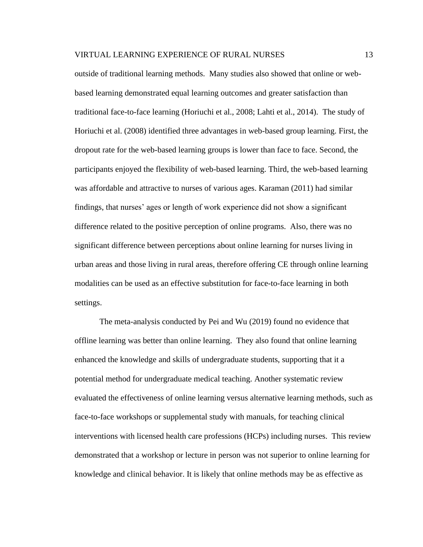outside of traditional learning methods. Many studies also showed that online or webbased learning demonstrated equal learning outcomes and greater satisfaction than traditional face-to-face learning (Horiuchi et al., 2008; Lahti et al., 2014). The study of Horiuchi et al. (2008) identified three advantages in web-based group learning. First, the dropout rate for the web-based learning groups is lower than face to face. Second, the participants enjoyed the flexibility of web-based learning. Third, the web-based learning was affordable and attractive to nurses of various ages. Karaman (2011) had similar findings, that nurses' ages or length of work experience did not show a significant difference related to the positive perception of online programs. Also, there was no significant difference between perceptions about online learning for nurses living in urban areas and those living in rural areas, therefore offering CE through online learning modalities can be used as an effective substitution for face-to-face learning in both settings.

The meta-analysis conducted by Pei and Wu (2019) found no evidence that offline learning was better than online learning. They also found that online learning enhanced the knowledge and skills of undergraduate students, supporting that it a potential method for undergraduate medical teaching. Another systematic review evaluated the effectiveness of online learning versus alternative learning methods, such as face-to-face workshops or supplemental study with manuals, for teaching clinical interventions with licensed health care professions (HCPs) including nurses. This review demonstrated that a workshop or lecture in person was not superior to online learning for knowledge and clinical behavior. It is likely that online methods may be as effective as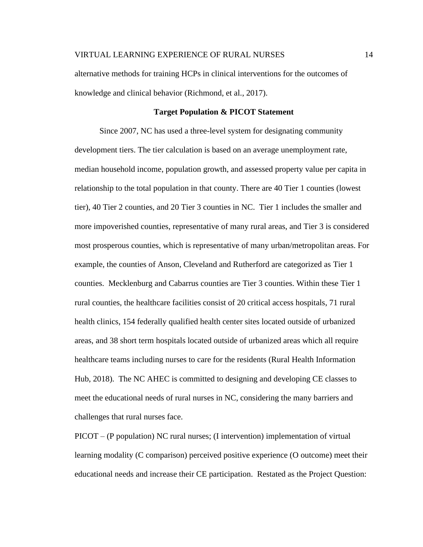alternative methods for training HCPs in clinical interventions for the outcomes of knowledge and clinical behavior (Richmond, et al., 2017).

## **Target Population & PICOT Statement**

Since 2007, NC has used a three-level system for designating community development tiers. The tier calculation is based on an average unemployment rate, median household income, population growth, and assessed property value per capita in relationship to the total population in that county. There are 40 Tier 1 counties (lowest tier), 40 Tier 2 counties, and 20 Tier 3 counties in NC. Tier 1 includes the smaller and more impoverished counties, representative of many rural areas, and Tier 3 is considered most prosperous counties, which is representative of many urban/metropolitan areas. For example, the counties of Anson, Cleveland and Rutherford are categorized as Tier 1 counties. Mecklenburg and Cabarrus counties are Tier 3 counties. Within these Tier 1 rural counties, the healthcare facilities consist of 20 critical access hospitals, 71 rural health clinics, 154 federally qualified health center sites located outside of urbanized areas, and 38 short term hospitals located outside of urbanized areas which all require healthcare teams including nurses to care for the residents (Rural Health Information Hub, 2018). The NC AHEC is committed to designing and developing CE classes to meet the educational needs of rural nurses in NC, considering the many barriers and challenges that rural nurses face.

PICOT – (P population) NC rural nurses; (I intervention) implementation of virtual learning modality (C comparison) perceived positive experience (O outcome) meet their educational needs and increase their CE participation. Restated as the Project Question: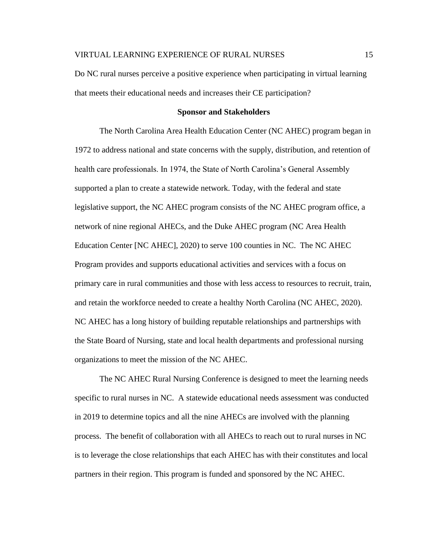Do NC rural nurses perceive a positive experience when participating in virtual learning that meets their educational needs and increases their CE participation?

#### **Sponsor and Stakeholders**

The North Carolina Area Health Education Center (NC AHEC) program began in 1972 to address national and state concerns with the supply, distribution, and retention of health care professionals. In 1974, the State of North Carolina's General Assembly supported a plan to create a statewide network. Today, with the federal and state legislative support, the NC AHEC program consists of the NC AHEC program office, a network of nine regional AHECs, and the Duke AHEC program (NC Area Health Education Center [NC AHEC], 2020) to serve 100 counties in NC. The NC AHEC Program provides and supports educational activities and services with a focus on primary care in rural communities and those with less access to resources to recruit, train, and retain the workforce needed to create a healthy North Carolina (NC AHEC, 2020). NC AHEC has a long history of building reputable relationships and partnerships with the State Board of Nursing, state and local health departments and professional nursing organizations to meet the mission of the NC AHEC.

The NC AHEC Rural Nursing Conference is designed to meet the learning needs specific to rural nurses in NC. A statewide educational needs assessment was conducted in 2019 to determine topics and all the nine AHECs are involved with the planning process. The benefit of collaboration with all AHECs to reach out to rural nurses in NC is to leverage the close relationships that each AHEC has with their constitutes and local partners in their region. This program is funded and sponsored by the NC AHEC.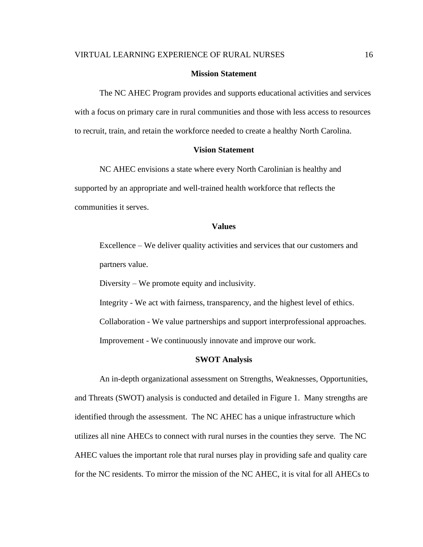### **Mission Statement**

The NC AHEC Program provides and supports educational activities and services with a focus on primary care in rural communities and those with less access to resources to recruit, train, and retain the workforce needed to create a healthy North Carolina.

## **Vision Statement**

NC AHEC envisions a state where every North Carolinian is healthy and supported by an appropriate and well-trained health workforce that reflects the communities it serves.

#### **Values**

Excellence – We deliver quality activities and services that our customers and partners value.

Diversity – We promote equity and inclusivity.

Integrity - We act with fairness, transparency, and the highest level of ethics. Collaboration - We value partnerships and support interprofessional approaches. Improvement - We continuously innovate and improve our work.

#### **SWOT Analysis**

An in-depth organizational assessment on Strengths, Weaknesses, Opportunities, and Threats (SWOT) analysis is conducted and detailed in Figure 1. Many strengths are identified through the assessment. The NC AHEC has a unique infrastructure which utilizes all nine AHECs to connect with rural nurses in the counties they serve. The NC AHEC values the important role that rural nurses play in providing safe and quality care for the NC residents. To mirror the mission of the NC AHEC, it is vital for all AHECs to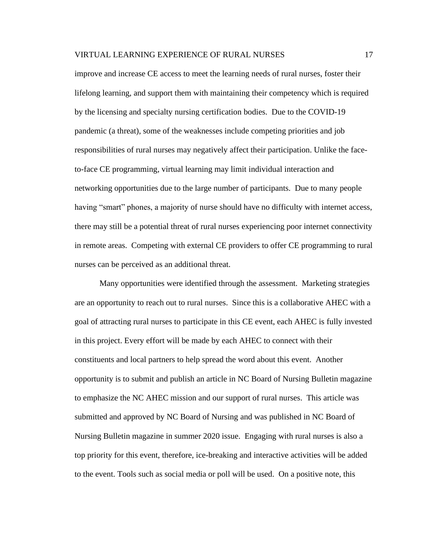improve and increase CE access to meet the learning needs of rural nurses, foster their lifelong learning, and support them with maintaining their competency which is required by the licensing and specialty nursing certification bodies. Due to the COVID-19 pandemic (a threat), some of the weaknesses include competing priorities and job responsibilities of rural nurses may negatively affect their participation. Unlike the faceto-face CE programming, virtual learning may limit individual interaction and networking opportunities due to the large number of participants. Due to many people having "smart" phones, a majority of nurse should have no difficulty with internet access, there may still be a potential threat of rural nurses experiencing poor internet connectivity in remote areas. Competing with external CE providers to offer CE programming to rural nurses can be perceived as an additional threat.

Many opportunities were identified through the assessment. Marketing strategies are an opportunity to reach out to rural nurses. Since this is a collaborative AHEC with a goal of attracting rural nurses to participate in this CE event, each AHEC is fully invested in this project. Every effort will be made by each AHEC to connect with their constituents and local partners to help spread the word about this event. Another opportunity is to submit and publish an article in NC Board of Nursing Bulletin magazine to emphasize the NC AHEC mission and our support of rural nurses. This article was submitted and approved by NC Board of Nursing and was published in NC Board of Nursing Bulletin magazine in summer 2020 issue. Engaging with rural nurses is also a top priority for this event, therefore, ice-breaking and interactive activities will be added to the event. Tools such as social media or poll will be used. On a positive note, this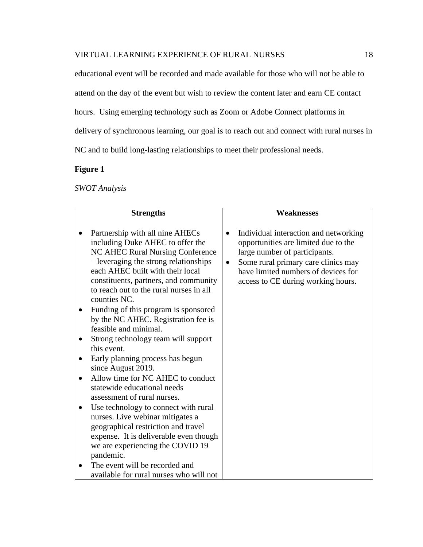educational event will be recorded and made available for those who will not be able to attend on the day of the event but wish to review the content later and earn CE contact hours. Using emerging technology such as Zoom or Adobe Connect platforms in delivery of synchronous learning, our goal is to reach out and connect with rural nurses in NC and to build long-lasting relationships to meet their professional needs.

# **Figure 1**

*SWOT Analysis*

| <b>Strengths</b>                                                                                                                                                                                                                                                                                                                                                                                                                                                                                                 |           | <b>Weaknesses</b>                                                                                                                                                                                                                  |
|------------------------------------------------------------------------------------------------------------------------------------------------------------------------------------------------------------------------------------------------------------------------------------------------------------------------------------------------------------------------------------------------------------------------------------------------------------------------------------------------------------------|-----------|------------------------------------------------------------------------------------------------------------------------------------------------------------------------------------------------------------------------------------|
| Partnership with all nine AHECs<br>including Duke AHEC to offer the<br>NC AHEC Rural Nursing Conference<br>- leveraging the strong relationships<br>each AHEC built with their local<br>constituents, partners, and community<br>to reach out to the rural nurses in all<br>counties NC.<br>Funding of this program is sponsored<br>by the NC AHEC. Registration fee is<br>feasible and minimal.<br>Strong technology team will support<br>this event.<br>Early planning process has begun<br>since August 2019. | $\bullet$ | Individual interaction and networking<br>opportunities are limited due to the<br>large number of participants.<br>Some rural primary care clinics may<br>have limited numbers of devices for<br>access to CE during working hours. |
| Allow time for NC AHEC to conduct<br>statewide educational needs<br>assessment of rural nurses.                                                                                                                                                                                                                                                                                                                                                                                                                  |           |                                                                                                                                                                                                                                    |
| Use technology to connect with rural<br>nurses. Live webinar mitigates a<br>geographical restriction and travel<br>expense. It is deliverable even though<br>we are experiencing the COVID 19<br>pandemic.<br>The event will be recorded and                                                                                                                                                                                                                                                                     |           |                                                                                                                                                                                                                                    |
| available for rural nurses who will not                                                                                                                                                                                                                                                                                                                                                                                                                                                                          |           |                                                                                                                                                                                                                                    |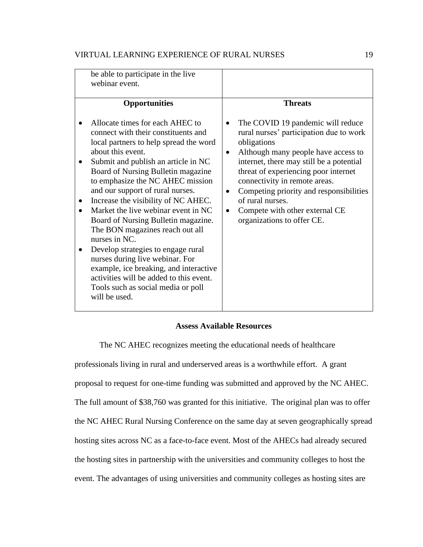| be able to participate in the live<br>webinar event.                                                                                                                                                                                                                                                                                                                                                                                                                                                                                                                                                                                                                                     |                        |                                                                                                                                                                                                                                                                                                                                                                                        |
|------------------------------------------------------------------------------------------------------------------------------------------------------------------------------------------------------------------------------------------------------------------------------------------------------------------------------------------------------------------------------------------------------------------------------------------------------------------------------------------------------------------------------------------------------------------------------------------------------------------------------------------------------------------------------------------|------------------------|----------------------------------------------------------------------------------------------------------------------------------------------------------------------------------------------------------------------------------------------------------------------------------------------------------------------------------------------------------------------------------------|
| <b>Opportunities</b>                                                                                                                                                                                                                                                                                                                                                                                                                                                                                                                                                                                                                                                                     |                        | <b>Threats</b>                                                                                                                                                                                                                                                                                                                                                                         |
| Allocate times for each AHEC to<br>connect with their constituents and<br>local partners to help spread the word<br>about this event.<br>Submit and publish an article in NC<br>Board of Nursing Bulletin magazine<br>to emphasize the NC AHEC mission<br>and our support of rural nurses.<br>Increase the visibility of NC AHEC.<br>Market the live webinar event in NC<br>Board of Nursing Bulletin magazine.<br>The BON magazines reach out all<br>nurses in NC.<br>Develop strategies to engage rural<br>nurses during live webinar. For<br>example, ice breaking, and interactive<br>activities will be added to this event.<br>Tools such as social media or poll<br>will be used. | $\bullet$<br>$\bullet$ | The COVID 19 pandemic will reduce<br>rural nurses' participation due to work<br>obligations<br>Although many people have access to<br>internet, there may still be a potential<br>threat of experiencing poor internet<br>connectivity in remote areas.<br>Competing priority and responsibilities<br>of rural nurses.<br>Compete with other external CE<br>organizations to offer CE. |
|                                                                                                                                                                                                                                                                                                                                                                                                                                                                                                                                                                                                                                                                                          |                        |                                                                                                                                                                                                                                                                                                                                                                                        |

# **Assess Available Resources**

The NC AHEC recognizes meeting the educational needs of healthcare

professionals living in rural and underserved areas is a worthwhile effort. A grant proposal to request for one-time funding was submitted and approved by the NC AHEC. The full amount of \$38,760 was granted for this initiative. The original plan was to offer the NC AHEC Rural Nursing Conference on the same day at seven geographically spread hosting sites across NC as a face-to-face event. Most of the AHECs had already secured the hosting sites in partnership with the universities and community colleges to host the event. The advantages of using universities and community colleges as hosting sites are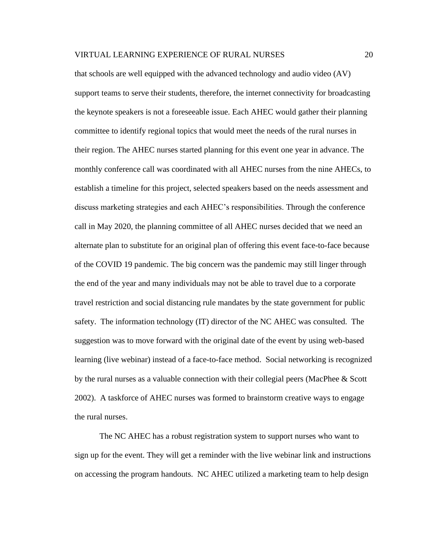that schools are well equipped with the advanced technology and audio video (AV) support teams to serve their students, therefore, the internet connectivity for broadcasting the keynote speakers is not a foreseeable issue. Each AHEC would gather their planning committee to identify regional topics that would meet the needs of the rural nurses in their region. The AHEC nurses started planning for this event one year in advance. The monthly conference call was coordinated with all AHEC nurses from the nine AHECs, to establish a timeline for this project, selected speakers based on the needs assessment and discuss marketing strategies and each AHEC's responsibilities. Through the conference call in May 2020, the planning committee of all AHEC nurses decided that we need an alternate plan to substitute for an original plan of offering this event face-to-face because of the COVID 19 pandemic. The big concern was the pandemic may still linger through the end of the year and many individuals may not be able to travel due to a corporate travel restriction and social distancing rule mandates by the state government for public safety. The information technology (IT) director of the NC AHEC was consulted. The suggestion was to move forward with the original date of the event by using web-based learning (live webinar) instead of a face-to-face method. Social networking is recognized by the rural nurses as a valuable connection with their collegial peers (MacPhee & Scott 2002). A taskforce of AHEC nurses was formed to brainstorm creative ways to engage the rural nurses.

The NC AHEC has a robust registration system to support nurses who want to sign up for the event. They will get a reminder with the live webinar link and instructions on accessing the program handouts. NC AHEC utilized a marketing team to help design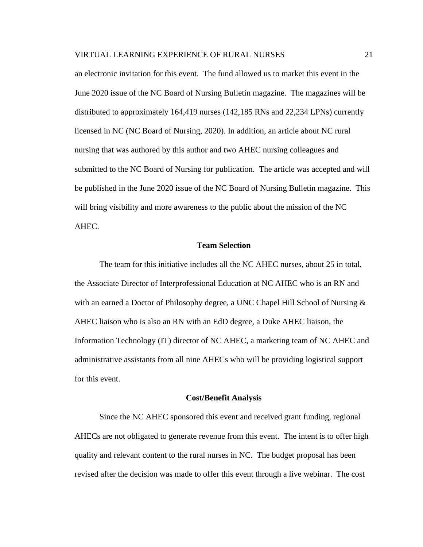an electronic invitation for this event. The fund allowed us to market this event in the June 2020 issue of the NC Board of Nursing Bulletin magazine. The magazines will be distributed to approximately 164,419 nurses (142,185 RNs and 22,234 LPNs) currently licensed in NC (NC Board of Nursing, 2020). In addition, an article about NC rural nursing that was authored by this author and two AHEC nursing colleagues and submitted to the NC Board of Nursing for publication. The article was accepted and will be published in the June 2020 issue of the NC Board of Nursing Bulletin magazine. This will bring visibility and more awareness to the public about the mission of the NC AHEC.

## **Team Selection**

The team for this initiative includes all the NC AHEC nurses, about 25 in total, the Associate Director of Interprofessional Education at NC AHEC who is an RN and with an earned a Doctor of Philosophy degree, a UNC Chapel Hill School of Nursing & AHEC liaison who is also an RN with an EdD degree, a Duke AHEC liaison, the Information Technology (IT) director of NC AHEC, a marketing team of NC AHEC and administrative assistants from all nine AHECs who will be providing logistical support for this event.

#### **Cost/Benefit Analysis**

Since the NC AHEC sponsored this event and received grant funding, regional AHECs are not obligated to generate revenue from this event. The intent is to offer high quality and relevant content to the rural nurses in NC. The budget proposal has been revised after the decision was made to offer this event through a live webinar. The cost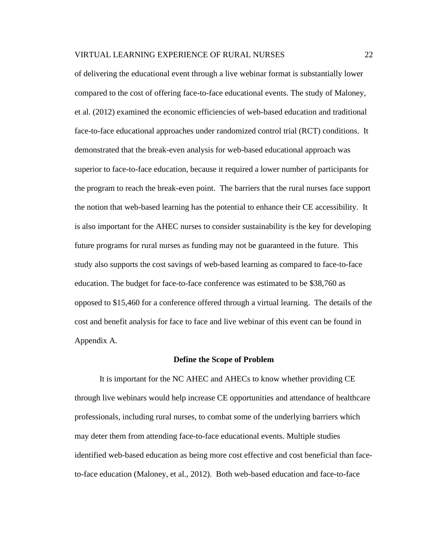of delivering the educational event through a live webinar format is substantially lower compared to the cost of offering face-to-face educational events. The study of Maloney, et al. (2012) examined the economic efficiencies of web-based education and traditional face-to-face educational approaches under randomized control trial (RCT) conditions. It demonstrated that the break-even analysis for web-based educational approach was superior to face-to-face education, because it required a lower number of participants for the program to reach the break-even point. The barriers that the rural nurses face support the notion that web-based learning has the potential to enhance their CE accessibility. It is also important for the AHEC nurses to consider sustainability is the key for developing future programs for rural nurses as funding may not be guaranteed in the future. This study also supports the cost savings of web-based learning as compared to face-to-face education. The budget for face-to-face conference was estimated to be \$38,760 as opposed to \$15,460 for a conference offered through a virtual learning. The details of the cost and benefit analysis for face to face and live webinar of this event can be found in Appendix A.

#### **Define the Scope of Problem**

It is important for the NC AHEC and AHECs to know whether providing CE through live webinars would help increase CE opportunities and attendance of healthcare professionals, including rural nurses, to combat some of the underlying barriers which may deter them from attending face-to-face educational events. Multiple studies identified web-based education as being more cost effective and cost beneficial than faceto-face education (Maloney, et al., 2012). Both web-based education and face-to-face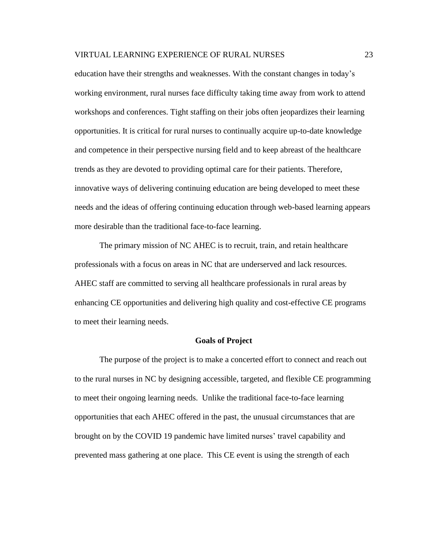education have their strengths and weaknesses. With the constant changes in today's working environment, rural nurses face difficulty taking time away from work to attend workshops and conferences. Tight staffing on their jobs often jeopardizes their learning opportunities. It is critical for rural nurses to continually acquire up-to-date knowledge and competence in their perspective nursing field and to keep abreast of the healthcare trends as they are devoted to providing optimal care for their patients. Therefore, innovative ways of delivering continuing education are being developed to meet these needs and the ideas of offering continuing education through web-based learning appears more desirable than the traditional face-to-face learning.

The primary mission of NC AHEC is to recruit, train, and retain healthcare professionals with a focus on areas in NC that are underserved and lack resources. AHEC staff are committed to serving all healthcare professionals in rural areas by enhancing CE opportunities and delivering high quality and cost-effective CE programs to meet their learning needs.

#### **Goals of Project**

The purpose of the project is to make a concerted effort to connect and reach out to the rural nurses in NC by designing accessible, targeted, and flexible CE programming to meet their ongoing learning needs. Unlike the traditional face-to-face learning opportunities that each AHEC offered in the past, the unusual circumstances that are brought on by the COVID 19 pandemic have limited nurses' travel capability and prevented mass gathering at one place. This CE event is using the strength of each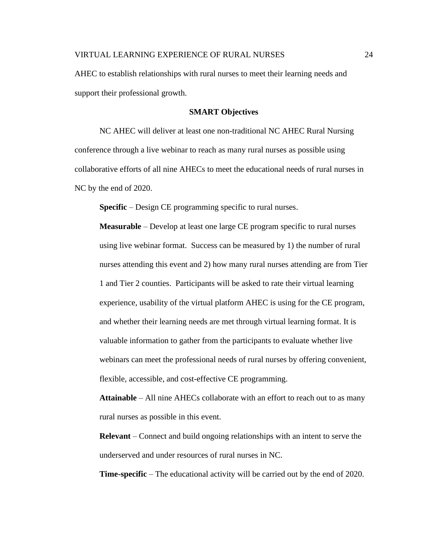AHEC to establish relationships with rural nurses to meet their learning needs and support their professional growth.

## **SMART Objectives**

NC AHEC will deliver at least one non-traditional NC AHEC Rural Nursing conference through a live webinar to reach as many rural nurses as possible using collaborative efforts of all nine AHECs to meet the educational needs of rural nurses in NC by the end of 2020.

**Specific** – Design CE programming specific to rural nurses.

**Measurable** – Develop at least one large CE program specific to rural nurses using live webinar format. Success can be measured by 1) the number of rural nurses attending this event and 2) how many rural nurses attending are from Tier 1 and Tier 2 counties. Participants will be asked to rate their virtual learning experience, usability of the virtual platform AHEC is using for the CE program, and whether their learning needs are met through virtual learning format. It is valuable information to gather from the participants to evaluate whether live webinars can meet the professional needs of rural nurses by offering convenient, flexible, accessible, and cost-effective CE programming.

**Attainable** – All nine AHECs collaborate with an effort to reach out to as many rural nurses as possible in this event.

**Relevant** – Connect and build ongoing relationships with an intent to serve the underserved and under resources of rural nurses in NC.

**Time-specific** – The educational activity will be carried out by the end of 2020.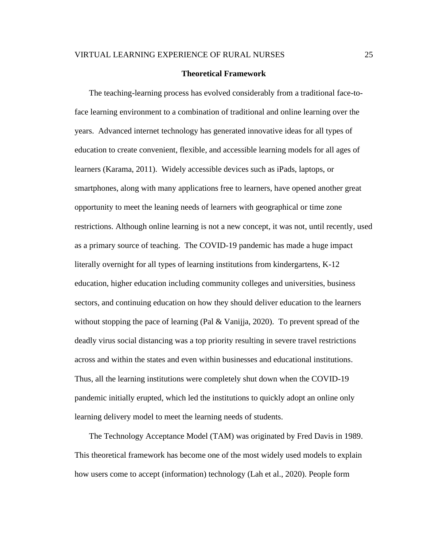#### **Theoretical Framework**

The teaching-learning process has evolved considerably from a traditional face-toface learning environment to a combination of traditional and online learning over the years. Advanced internet technology has generated innovative ideas for all types of education to create convenient, flexible, and accessible learning models for all ages of learners (Karama, 2011). Widely accessible devices such as iPads, laptops, or smartphones, along with many applications free to learners, have opened another great opportunity to meet the leaning needs of learners with geographical or time zone restrictions. Although online learning is not a new concept, it was not, until recently, used as a primary source of teaching. The COVID-19 pandemic has made a huge impact literally overnight for all types of learning institutions from kindergartens, K-12 education, higher education including community colleges and universities, business sectors, and continuing education on how they should deliver education to the learners without stopping the pace of learning (Pal  $&$  Vanijia, 2020). To prevent spread of the deadly virus social distancing was a top priority resulting in severe travel restrictions across and within the states and even within businesses and educational institutions. Thus, all the learning institutions were completely shut down when the COVID-19 pandemic initially erupted, which led the institutions to quickly adopt an online only learning delivery model to meet the learning needs of students.

The Technology Acceptance Model (TAM) was originated by Fred Davis in 1989. This theoretical framework has become one of the most widely used models to explain how users come to accept (information) technology (Lah et al., 2020). People form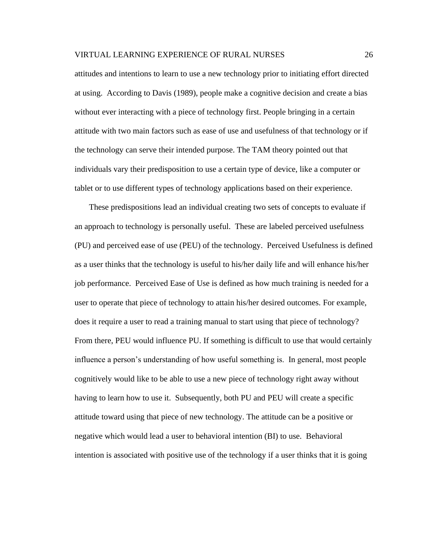attitudes and intentions to learn to use a new technology prior to initiating effort directed at using. According to Davis (1989), people make a cognitive decision and create a bias without ever interacting with a piece of technology first. People bringing in a certain attitude with two main factors such as ease of use and usefulness of that technology or if the technology can serve their intended purpose. The TAM theory pointed out that individuals vary their predisposition to use a certain type of device, like a computer or tablet or to use different types of technology applications based on their experience.

These predispositions lead an individual creating two sets of concepts to evaluate if an approach to technology is personally useful. These are labeled perceived usefulness (PU) and perceived ease of use (PEU) of the technology. Perceived Usefulness is defined as a user thinks that the technology is useful to his/her daily life and will enhance his/her job performance. Perceived Ease of Use is defined as how much training is needed for a user to operate that piece of technology to attain his/her desired outcomes. For example, does it require a user to read a training manual to start using that piece of technology? From there, PEU would influence PU. If something is difficult to use that would certainly influence a person's understanding of how useful something is. In general, most people cognitively would like to be able to use a new piece of technology right away without having to learn how to use it. Subsequently, both PU and PEU will create a specific attitude toward using that piece of new technology. The attitude can be a positive or negative which would lead a user to behavioral intention (BI) to use. Behavioral intention is associated with positive use of the technology if a user thinks that it is going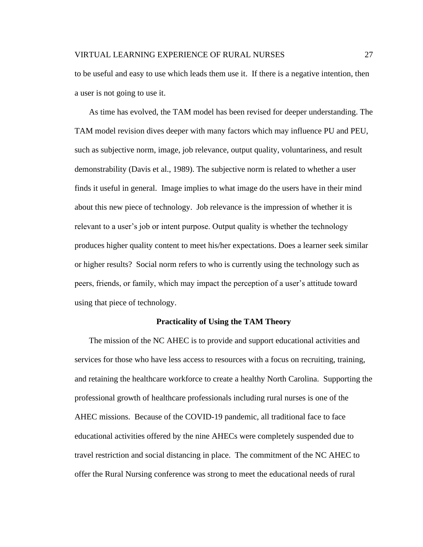to be useful and easy to use which leads them use it. If there is a negative intention, then a user is not going to use it.

As time has evolved, the TAM model has been revised for deeper understanding. The TAM model revision dives deeper with many factors which may influence PU and PEU, such as subjective norm, image, job relevance, output quality, voluntariness, and result demonstrability (Davis et al., 1989). The subjective norm is related to whether a user finds it useful in general. Image implies to what image do the users have in their mind about this new piece of technology. Job relevance is the impression of whether it is relevant to a user's job or intent purpose. Output quality is whether the technology produces higher quality content to meet his/her expectations. Does a learner seek similar or higher results? Social norm refers to who is currently using the technology such as peers, friends, or family, which may impact the perception of a user's attitude toward using that piece of technology.

#### **Practicality of Using the TAM Theory**

The mission of the NC AHEC is to provide and support educational activities and services for those who have less access to resources with a focus on recruiting, training, and retaining the healthcare workforce to create a healthy North Carolina. Supporting the professional growth of healthcare professionals including rural nurses is one of the AHEC missions. Because of the COVID-19 pandemic, all traditional face to face educational activities offered by the nine AHECs were completely suspended due to travel restriction and social distancing in place. The commitment of the NC AHEC to offer the Rural Nursing conference was strong to meet the educational needs of rural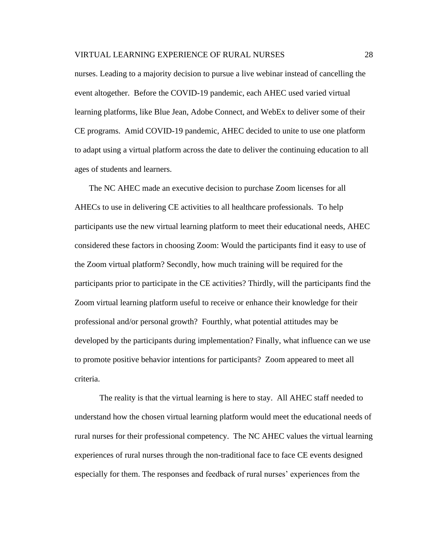nurses. Leading to a majority decision to pursue a live webinar instead of cancelling the event altogether. Before the COVID-19 pandemic, each AHEC used varied virtual learning platforms, like Blue Jean, Adobe Connect, and WebEx to deliver some of their CE programs. Amid COVID-19 pandemic, AHEC decided to unite to use one platform to adapt using a virtual platform across the date to deliver the continuing education to all ages of students and learners.

The NC AHEC made an executive decision to purchase Zoom licenses for all AHECs to use in delivering CE activities to all healthcare professionals. To help participants use the new virtual learning platform to meet their educational needs, AHEC considered these factors in choosing Zoom: Would the participants find it easy to use of the Zoom virtual platform? Secondly, how much training will be required for the participants prior to participate in the CE activities? Thirdly, will the participants find the Zoom virtual learning platform useful to receive or enhance their knowledge for their professional and/or personal growth? Fourthly, what potential attitudes may be developed by the participants during implementation? Finally, what influence can we use to promote positive behavior intentions for participants? Zoom appeared to meet all criteria.

The reality is that the virtual learning is here to stay. All AHEC staff needed to understand how the chosen virtual learning platform would meet the educational needs of rural nurses for their professional competency. The NC AHEC values the virtual learning experiences of rural nurses through the non-traditional face to face CE events designed especially for them. The responses and feedback of rural nurses' experiences from the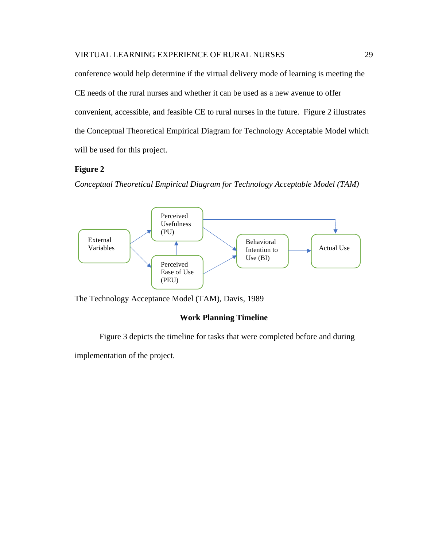conference would help determine if the virtual delivery mode of learning is meeting the CE needs of the rural nurses and whether it can be used as a new avenue to offer convenient, accessible, and feasible CE to rural nurses in the future. Figure 2 illustrates the Conceptual Theoretical Empirical Diagram for Technology Acceptable Model which will be used for this project.

# **Figure 2**

*Conceptual Theoretical Empirical Diagram for Technology Acceptable Model (TAM)*



The Technology Acceptance Model (TAM), Davis, 1989

## **Work Planning Timeline**

Figure 3 depicts the timeline for tasks that were completed before and during

implementation of the project.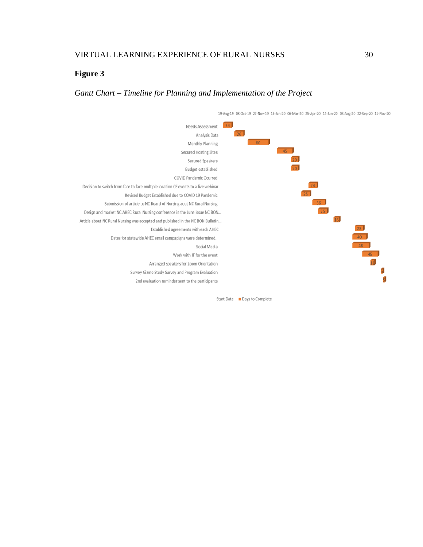# **Figure 3**

# *Gantt Chart – Timeline for Planning and Implementation of the Project*

19-Aug-19 08-Oct-19 27-Nov-19 16-Jan-20 06-Mar-20 25-Apr-20 14-Jun-20 03-Aug-20 22-Sep-20 11-Nov-20



Start Date Days to Complete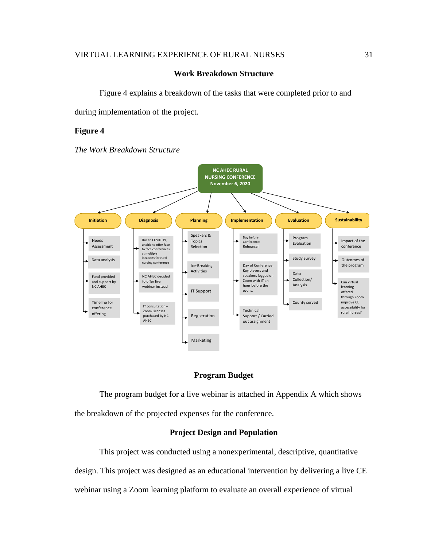## **Work Breakdown Structure**

Figure 4 explains a breakdown of the tasks that were completed prior to and

during implementation of the project.

## **Figure 4**

*The Work Breakdown Structure* 



## **Program Budget**

The program budget for a live webinar is attached in Appendix A which shows the breakdown of the projected expenses for the conference.

## **Project Design and Population**

This project was conducted using a nonexperimental, descriptive, quantitative design. This project was designed as an educational intervention by delivering a live CE webinar using a Zoom learning platform to evaluate an overall experience of virtual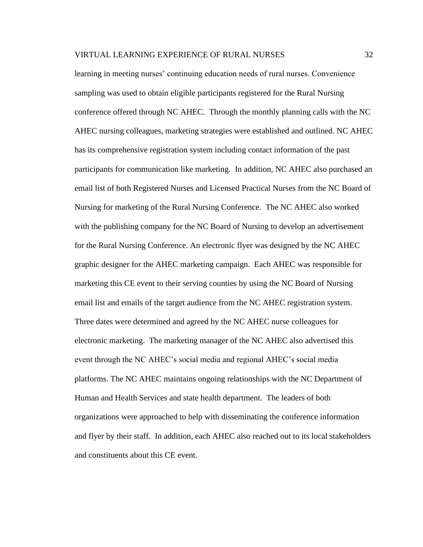learning in meeting nurses' continuing education needs of rural nurses. Convenience sampling was used to obtain eligible participants registered for the Rural Nursing conference offered through NC AHEC. Through the monthly planning calls with the NC AHEC nursing colleagues, marketing strategies were established and outlined. NC AHEC has its comprehensive registration system including contact information of the past participants for communication like marketing. In addition, NC AHEC also purchased an email list of both Registered Nurses and Licensed Practical Nurses from the NC Board of Nursing for marketing of the Rural Nursing Conference. The NC AHEC also worked with the publishing company for the NC Board of Nursing to develop an advertisement for the Rural Nursing Conference. An electronic flyer was designed by the NC AHEC graphic designer for the AHEC marketing campaign. Each AHEC was responsible for marketing this CE event to their serving counties by using the NC Board of Nursing email list and emails of the target audience from the NC AHEC registration system. Three dates were determined and agreed by the NC AHEC nurse colleagues for electronic marketing. The marketing manager of the NC AHEC also advertised this event through the NC AHEC's social media and regional AHEC's social media platforms. The NC AHEC maintains ongoing relationships with the NC Department of Human and Health Services and state health department. The leaders of both organizations were approached to help with disseminating the conference information and flyer by their staff. In addition, each AHEC also reached out to its local stakeholders and constituents about this CE event.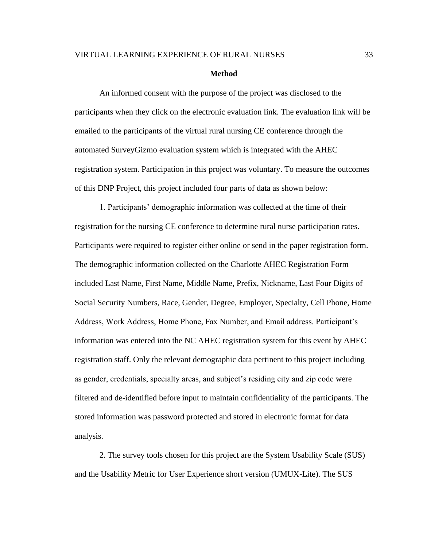#### **Method**

An informed consent with the purpose of the project was disclosed to the participants when they click on the electronic evaluation link. The evaluation link will be emailed to the participants of the virtual rural nursing CE conference through the automated SurveyGizmo evaluation system which is integrated with the AHEC registration system. Participation in this project was voluntary. To measure the outcomes of this DNP Project, this project included four parts of data as shown below:

1. Participants' demographic information was collected at the time of their registration for the nursing CE conference to determine rural nurse participation rates. Participants were required to register either online or send in the paper registration form. The demographic information collected on the Charlotte AHEC Registration Form included Last Name, First Name, Middle Name, Prefix, Nickname, Last Four Digits of Social Security Numbers, Race, Gender, Degree, Employer, Specialty, Cell Phone, Home Address, Work Address, Home Phone, Fax Number, and Email address. Participant's information was entered into the NC AHEC registration system for this event by AHEC registration staff. Only the relevant demographic data pertinent to this project including as gender, credentials, specialty areas, and subject's residing city and zip code were filtered and de-identified before input to maintain confidentiality of the participants. The stored information was password protected and stored in electronic format for data analysis.

2. The survey tools chosen for this project are the System Usability Scale (SUS) and the Usability Metric for User Experience short version (UMUX-Lite). The SUS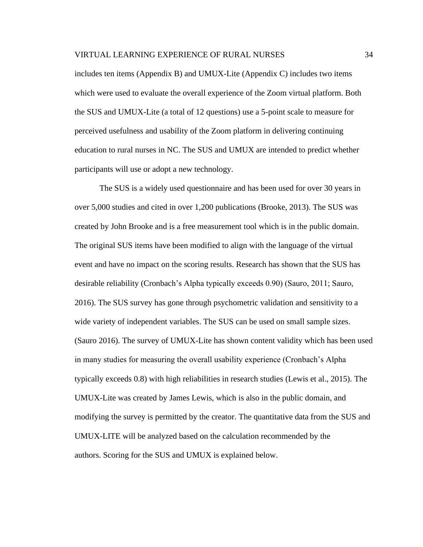includes ten items (Appendix B) and UMUX-Lite (Appendix C) includes two items which were used to evaluate the overall experience of the Zoom virtual platform. Both the SUS and UMUX-Lite (a total of 12 questions) use a 5-point scale to measure for perceived usefulness and usability of the Zoom platform in delivering continuing education to rural nurses in NC. The SUS and UMUX are intended to predict whether participants will use or adopt a new technology.

The SUS is a widely used questionnaire and has been used for over 30 years in over 5,000 studies and cited in over 1,200 publications (Brooke, 2013). The SUS was created by John Brooke and is a free measurement tool which is in the public domain. The original SUS items have been modified to align with the language of the virtual event and have no impact on the scoring results. Research has shown that the SUS has desirable reliability (Cronbach's Alpha typically exceeds 0.90) (Sauro, 2011; Sauro, 2016). The SUS survey has gone through psychometric validation and sensitivity to a wide variety of independent variables. The SUS can be used on small sample sizes. (Sauro 2016). The survey of UMUX-Lite has shown content validity which has been used in many studies for measuring the overall usability experience (Cronbach's Alpha typically exceeds 0.8) with high reliabilities in research studies (Lewis et al., 2015). The UMUX-Lite was created by James Lewis, which is also in the public domain, and modifying the survey is permitted by the creator. The quantitative data from the SUS and UMUX-LITE will be analyzed based on the calculation recommended by the authors. Scoring for the SUS and UMUX is explained below.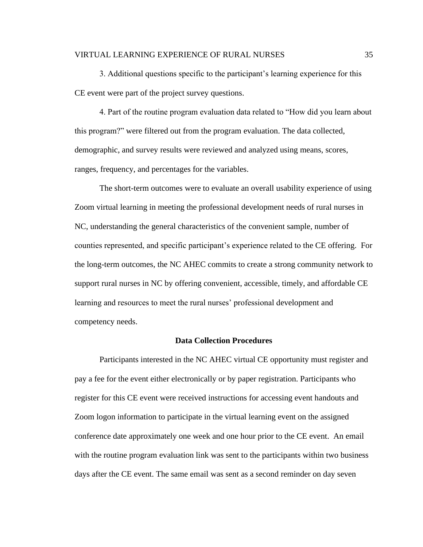3. Additional questions specific to the participant's learning experience for this CE event were part of the project survey questions.

4. Part of the routine program evaluation data related to "How did you learn about this program?" were filtered out from the program evaluation. The data collected, demographic, and survey results were reviewed and analyzed using means, scores, ranges, frequency, and percentages for the variables.

The short-term outcomes were to evaluate an overall usability experience of using Zoom virtual learning in meeting the professional development needs of rural nurses in NC, understanding the general characteristics of the convenient sample, number of counties represented, and specific participant's experience related to the CE offering. For the long-term outcomes, the NC AHEC commits to create a strong community network to support rural nurses in NC by offering convenient, accessible, timely, and affordable CE learning and resources to meet the rural nurses' professional development and competency needs.

## **Data Collection Procedures**

Participants interested in the NC AHEC virtual CE opportunity must register and pay a fee for the event either electronically or by paper registration. Participants who register for this CE event were received instructions for accessing event handouts and Zoom logon information to participate in the virtual learning event on the assigned conference date approximately one week and one hour prior to the CE event. An email with the routine program evaluation link was sent to the participants within two business days after the CE event. The same email was sent as a second reminder on day seven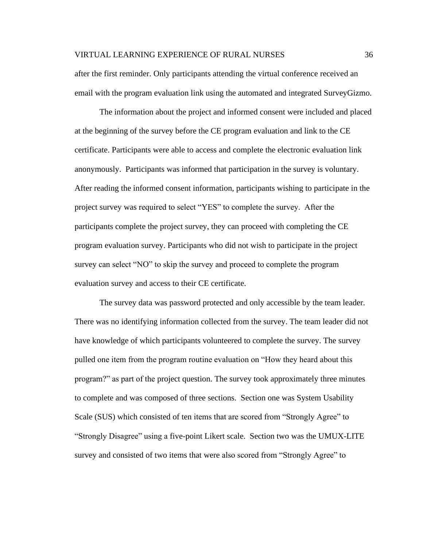after the first reminder. Only participants attending the virtual conference received an email with the program evaluation link using the automated and integrated SurveyGizmo.

The information about the project and informed consent were included and placed at the beginning of the survey before the CE program evaluation and link to the CE certificate. Participants were able to access and complete the electronic evaluation link anonymously. Participants was informed that participation in the survey is voluntary. After reading the informed consent information, participants wishing to participate in the project survey was required to select "YES" to complete the survey. After the participants complete the project survey, they can proceed with completing the CE program evaluation survey. Participants who did not wish to participate in the project survey can select "NO" to skip the survey and proceed to complete the program evaluation survey and access to their CE certificate.

The survey data was password protected and only accessible by the team leader. There was no identifying information collected from the survey. The team leader did not have knowledge of which participants volunteered to complete the survey. The survey pulled one item from the program routine evaluation on "How they heard about this program?" as part of the project question. The survey took approximately three minutes to complete and was composed of three sections. Section one was System Usability Scale (SUS) which consisted of ten items that are scored from "Strongly Agree" to "Strongly Disagree" using a five-point Likert scale. Section two was the UMUX-LITE survey and consisted of two items that were also scored from "Strongly Agree" to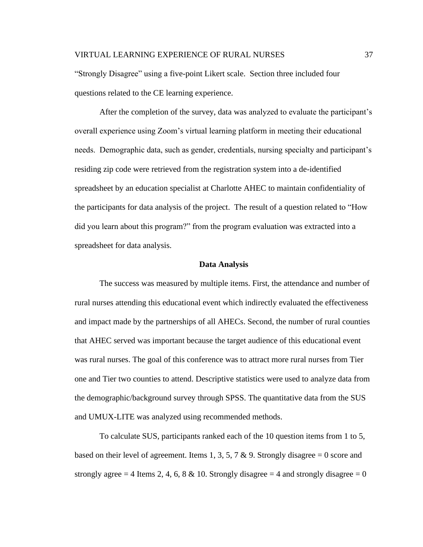"Strongly Disagree" using a five-point Likert scale. Section three included four questions related to the CE learning experience.

After the completion of the survey, data was analyzed to evaluate the participant's overall experience using Zoom's virtual learning platform in meeting their educational needs. Demographic data, such as gender, credentials, nursing specialty and participant's residing zip code were retrieved from the registration system into a de-identified spreadsheet by an education specialist at Charlotte AHEC to maintain confidentiality of the participants for data analysis of the project. The result of a question related to "How did you learn about this program?" from the program evaluation was extracted into a spreadsheet for data analysis.

#### **Data Analysis**

The success was measured by multiple items. First, the attendance and number of rural nurses attending this educational event which indirectly evaluated the effectiveness and impact made by the partnerships of all AHECs. Second, the number of rural counties that AHEC served was important because the target audience of this educational event was rural nurses. The goal of this conference was to attract more rural nurses from Tier one and Tier two counties to attend. Descriptive statistics were used to analyze data from the demographic/background survey through SPSS. The quantitative data from the SUS and UMUX-LITE was analyzed using recommended methods.

To calculate SUS, participants ranked each of the 10 question items from 1 to 5, based on their level of agreement. Items 1, 3, 5, 7 & 9. Strongly disagree = 0 score and strongly agree = 4 Items 2, 4, 6, 8 & 10. Strongly disagree = 4 and strongly disagree =  $0$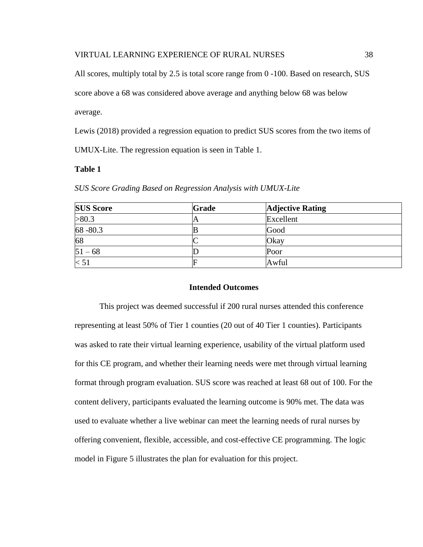All scores, multiply total by 2.5 is total score range from 0 -100. Based on research, SUS

score above a 68 was considered above average and anything below 68 was below

average.

Lewis (2018) provided a regression equation to predict SUS scores from the two items of

UMUX-Lite. The regression equation is seen in Table 1.

## **Table 1**

| <b>SUS Score</b> | <b>Grade</b> | <b>Adjective Rating</b> |
|------------------|--------------|-------------------------|
| >80.3            | $\Gamma$     | Excellent               |
| 68 - 80.3        |              | Good                    |
| 68               |              | Okay                    |
| $51 - 68$        |              | Poor                    |
| < 51             |              | Awful                   |

*SUS Score Grading Based on Regression Analysis with UMUX-Lite*

#### **Intended Outcomes**

This project was deemed successful if 200 rural nurses attended this conference representing at least 50% of Tier 1 counties (20 out of 40 Tier 1 counties). Participants was asked to rate their virtual learning experience, usability of the virtual platform used for this CE program, and whether their learning needs were met through virtual learning format through program evaluation. SUS score was reached at least 68 out of 100. For the content delivery, participants evaluated the learning outcome is 90% met. The data was used to evaluate whether a live webinar can meet the learning needs of rural nurses by offering convenient, flexible, accessible, and cost-effective CE programming. The logic model in Figure 5 illustrates the plan for evaluation for this project.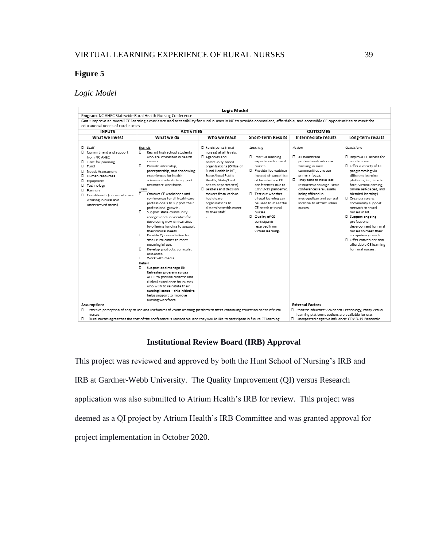# **Figure 5**

# *Logic Model*

| Program: NC AHEC Statewide Rural Health Nursing Conference.<br>Goal: Improve an overall CE learning experience and accessibility for rural nurses in NC to provide convenient, affordable, and accessible CE opportunities to meet the<br>educational needs of rural nurses.<br><b>INPUTS</b><br>What we invest<br>$\Box$ Staff<br>Recruit<br>Commitment and support<br>0<br>from NC AHEC<br>careers.<br>Time for planning<br>п<br>0<br>Provide internship.<br>Fund<br>□ Needs Assessment<br>Human resources<br>0<br>Equipment<br>D Technology<br>Train<br>D Partners<br>о<br>D Constituents (nurses who are<br>working in rural and<br>underserved areas)<br>o. | <b>ACTIVITIES</b><br>What we do<br>Who we reach                                                                                                                                                                                                                                                                                                                                                                                                                                                                                                                                                                                                                                                                                                                                                                                                         |                                                                                                                                                                                                                                                                                                                        |                                                                                                                                                                                                                                                                                                                                                                                                                                                                                                                                                                                                                      |                                                                                                                                                                                                                                                                                                                                                                                                                                                                                                   |  |  |  |  |  |  |
|------------------------------------------------------------------------------------------------------------------------------------------------------------------------------------------------------------------------------------------------------------------------------------------------------------------------------------------------------------------------------------------------------------------------------------------------------------------------------------------------------------------------------------------------------------------------------------------------------------------------------------------------------------------|---------------------------------------------------------------------------------------------------------------------------------------------------------------------------------------------------------------------------------------------------------------------------------------------------------------------------------------------------------------------------------------------------------------------------------------------------------------------------------------------------------------------------------------------------------------------------------------------------------------------------------------------------------------------------------------------------------------------------------------------------------------------------------------------------------------------------------------------------------|------------------------------------------------------------------------------------------------------------------------------------------------------------------------------------------------------------------------------------------------------------------------------------------------------------------------|----------------------------------------------------------------------------------------------------------------------------------------------------------------------------------------------------------------------------------------------------------------------------------------------------------------------------------------------------------------------------------------------------------------------------------------------------------------------------------------------------------------------------------------------------------------------------------------------------------------------|---------------------------------------------------------------------------------------------------------------------------------------------------------------------------------------------------------------------------------------------------------------------------------------------------------------------------------------------------------------------------------------------------------------------------------------------------------------------------------------------------|--|--|--|--|--|--|
|                                                                                                                                                                                                                                                                                                                                                                                                                                                                                                                                                                                                                                                                  |                                                                                                                                                                                                                                                                                                                                                                                                                                                                                                                                                                                                                                                                                                                                                                                                                                                         |                                                                                                                                                                                                                                                                                                                        |                                                                                                                                                                                                                                                                                                                                                                                                                                                                                                                                                                                                                      |                                                                                                                                                                                                                                                                                                                                                                                                                                                                                                   |  |  |  |  |  |  |
|                                                                                                                                                                                                                                                                                                                                                                                                                                                                                                                                                                                                                                                                  |                                                                                                                                                                                                                                                                                                                                                                                                                                                                                                                                                                                                                                                                                                                                                                                                                                                         |                                                                                                                                                                                                                                                                                                                        |                                                                                                                                                                                                                                                                                                                                                                                                                                                                                                                                                                                                                      |                                                                                                                                                                                                                                                                                                                                                                                                                                                                                                   |  |  |  |  |  |  |
|                                                                                                                                                                                                                                                                                                                                                                                                                                                                                                                                                                                                                                                                  |                                                                                                                                                                                                                                                                                                                                                                                                                                                                                                                                                                                                                                                                                                                                                                                                                                                         |                                                                                                                                                                                                                                                                                                                        |                                                                                                                                                                                                                                                                                                                                                                                                                                                                                                                                                                                                                      | <b>OUTCOMES</b>                                                                                                                                                                                                                                                                                                                                                                                                                                                                                   |  |  |  |  |  |  |
|                                                                                                                                                                                                                                                                                                                                                                                                                                                                                                                                                                                                                                                                  |                                                                                                                                                                                                                                                                                                                                                                                                                                                                                                                                                                                                                                                                                                                                                                                                                                                         |                                                                                                                                                                                                                                                                                                                        | Intermediate results<br>Short-Term Results                                                                                                                                                                                                                                                                                                                                                                                                                                                                                                                                                                           | Long-term results                                                                                                                                                                                                                                                                                                                                                                                                                                                                                 |  |  |  |  |  |  |
| their clinical needs<br>п.<br>meaningful use.<br>п<br><b>CASOLICAS</b><br>о<br>Work with media.<br>Retain<br>0<br>nursing workforce.<br><b>Assumptions</b>                                                                                                                                                                                                                                                                                                                                                                                                                                                                                                       | □ Participants (rural<br>Recruit high school students<br>who are interested in health<br>Agencies and<br>preceptorship, and shadowing<br>experiences for health<br>sciences students to support<br>healthcare workforce.<br>Conduct CE workshops and<br>conferences for all healthcare<br>healthcare<br>professionals to support their<br>organizations to<br>professional growth.<br>to their staff<br>Support state community<br>colleges and universities for<br>developing new dinical sites<br>by offering funding to support<br>Provide OI consultation for<br>small rural clinics to meet<br>Develop products, curricula,<br>Support and manage RN<br>Refresher program across<br>AHEC to provide didactic and<br>clinical experience for nurses<br>who wish to reinstate their<br>nursing license - this initiative<br>helps support to improve | Learning<br>nurses) at all levels.<br>community-based<br>nurses.<br>organizations (Office of<br>Rural Health in NC.<br>State /local Public<br>Health, State/local<br>health departments).<br>$\Box$ Leaders and decision<br>makers from various.<br>disseminate this event<br>nurses.<br>Quality of CE<br>participants | Action<br>All healthcare<br>D Positive learning<br>professionals who are<br>experience for rural<br>working in rural<br>Provide live webinar<br>communities are our<br>primary focus.<br>instead of cancelling<br>of face-to-face CE<br>They tend to have less<br>conferences due to<br>resources and large- scale<br>COVID-19 pandemic.<br>conferences are usually<br>Test out whether<br>being offered in<br>metropolitan and central<br>virtual learning can<br>be used to meet the<br>location to attract urban<br>CE needs of rural<br>nurses.<br>received from<br>virtual learning.<br><b>External Factors</b> | Conditions<br>I Improve CE access for<br>rural nurses<br>D Offer a variety of CE<br>programming via<br>different learning<br>platform, i.e., face to<br>face, virtual learning.<br>online self-paced, and<br>blended learning).<br>Create a strong<br>community support<br>network for rural<br>nurses in NC.<br>□ Support ongoing<br>professional<br>development for rural<br>nurses to meet their<br>competency needs.<br>D Offer convenient and<br>affordable CE learning<br>for rural nurses. |  |  |  |  |  |  |

# **Institutional Review Board (IRB) Approval**

This project was reviewed and approved by both the Hunt School of Nursing's IRB and IRB at Gardner-Webb University. The Quality Improvement (QI) versus Research application was also submitted to Atrium Health's IRB for review. This project was deemed as a QI project by Atrium Health's IRB Committee and was granted approval for project implementation in October 2020.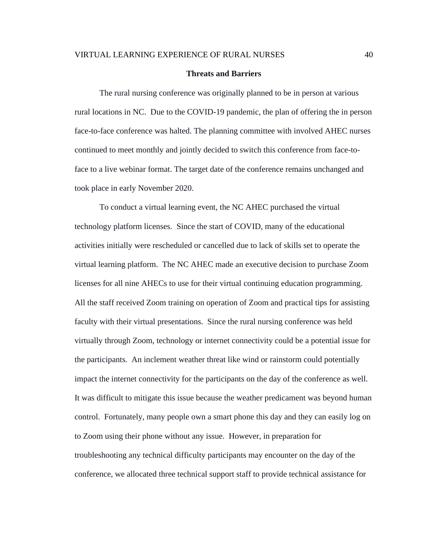#### **Threats and Barriers**

The rural nursing conference was originally planned to be in person at various rural locations in NC. Due to the COVID-19 pandemic, the plan of offering the in person face-to-face conference was halted. The planning committee with involved AHEC nurses continued to meet monthly and jointly decided to switch this conference from face-toface to a live webinar format. The target date of the conference remains unchanged and took place in early November 2020.

To conduct a virtual learning event, the NC AHEC purchased the virtual technology platform licenses. Since the start of COVID, many of the educational activities initially were rescheduled or cancelled due to lack of skills set to operate the virtual learning platform. The NC AHEC made an executive decision to purchase Zoom licenses for all nine AHECs to use for their virtual continuing education programming. All the staff received Zoom training on operation of Zoom and practical tips for assisting faculty with their virtual presentations. Since the rural nursing conference was held virtually through Zoom, technology or internet connectivity could be a potential issue for the participants. An inclement weather threat like wind or rainstorm could potentially impact the internet connectivity for the participants on the day of the conference as well. It was difficult to mitigate this issue because the weather predicament was beyond human control. Fortunately, many people own a smart phone this day and they can easily log on to Zoom using their phone without any issue. However, in preparation for troubleshooting any technical difficulty participants may encounter on the day of the conference, we allocated three technical support staff to provide technical assistance for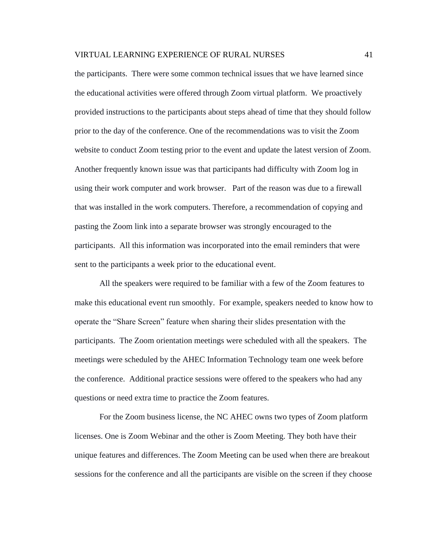the participants. There were some common technical issues that we have learned since the educational activities were offered through Zoom virtual platform. We proactively provided instructions to the participants about steps ahead of time that they should follow prior to the day of the conference. One of the recommendations was to visit the Zoom website to conduct Zoom testing prior to the event and update the latest version of Zoom. Another frequently known issue was that participants had difficulty with Zoom log in using their work computer and work browser. Part of the reason was due to a firewall that was installed in the work computers. Therefore, a recommendation of copying and pasting the Zoom link into a separate browser was strongly encouraged to the participants. All this information was incorporated into the email reminders that were sent to the participants a week prior to the educational event.

All the speakers were required to be familiar with a few of the Zoom features to make this educational event run smoothly. For example, speakers needed to know how to operate the "Share Screen" feature when sharing their slides presentation with the participants. The Zoom orientation meetings were scheduled with all the speakers. The meetings were scheduled by the AHEC Information Technology team one week before the conference. Additional practice sessions were offered to the speakers who had any questions or need extra time to practice the Zoom features.

For the Zoom business license, the NC AHEC owns two types of Zoom platform licenses. One is Zoom Webinar and the other is Zoom Meeting. They both have their unique features and differences. The Zoom Meeting can be used when there are breakout sessions for the conference and all the participants are visible on the screen if they choose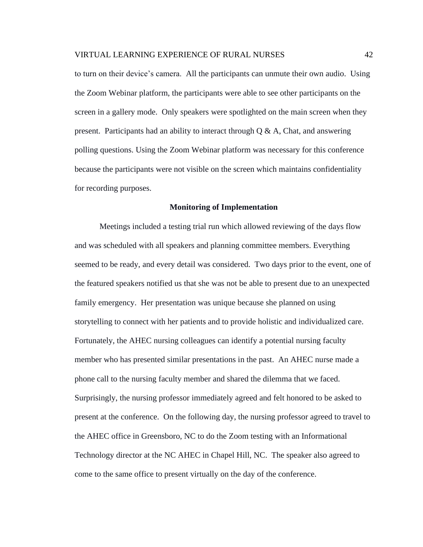to turn on their device's camera. All the participants can unmute their own audio. Using the Zoom Webinar platform, the participants were able to see other participants on the screen in a gallery mode. Only speakers were spotlighted on the main screen when they present. Participants had an ability to interact through  $Q \& A$ , Chat, and answering polling questions. Using the Zoom Webinar platform was necessary for this conference because the participants were not visible on the screen which maintains confidentiality for recording purposes.

#### **Monitoring of Implementation**

Meetings included a testing trial run which allowed reviewing of the days flow and was scheduled with all speakers and planning committee members. Everything seemed to be ready, and every detail was considered. Two days prior to the event, one of the featured speakers notified us that she was not be able to present due to an unexpected family emergency. Her presentation was unique because she planned on using storytelling to connect with her patients and to provide holistic and individualized care. Fortunately, the AHEC nursing colleagues can identify a potential nursing faculty member who has presented similar presentations in the past. An AHEC nurse made a phone call to the nursing faculty member and shared the dilemma that we faced. Surprisingly, the nursing professor immediately agreed and felt honored to be asked to present at the conference. On the following day, the nursing professor agreed to travel to the AHEC office in Greensboro, NC to do the Zoom testing with an Informational Technology director at the NC AHEC in Chapel Hill, NC. The speaker also agreed to come to the same office to present virtually on the day of the conference.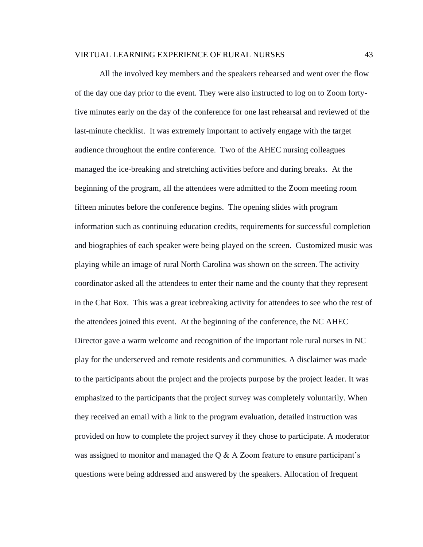All the involved key members and the speakers rehearsed and went over the flow of the day one day prior to the event. They were also instructed to log on to Zoom fortyfive minutes early on the day of the conference for one last rehearsal and reviewed of the last-minute checklist. It was extremely important to actively engage with the target audience throughout the entire conference. Two of the AHEC nursing colleagues managed the ice-breaking and stretching activities before and during breaks. At the beginning of the program, all the attendees were admitted to the Zoom meeting room fifteen minutes before the conference begins. The opening slides with program information such as continuing education credits, requirements for successful completion and biographies of each speaker were being played on the screen. Customized music was playing while an image of rural North Carolina was shown on the screen. The activity coordinator asked all the attendees to enter their name and the county that they represent in the Chat Box. This was a great icebreaking activity for attendees to see who the rest of the attendees joined this event. At the beginning of the conference, the NC AHEC Director gave a warm welcome and recognition of the important role rural nurses in NC play for the underserved and remote residents and communities. A disclaimer was made to the participants about the project and the projects purpose by the project leader. It was emphasized to the participants that the project survey was completely voluntarily. When they received an email with a link to the program evaluation, detailed instruction was provided on how to complete the project survey if they chose to participate. A moderator was assigned to monitor and managed the Q & A Zoom feature to ensure participant's questions were being addressed and answered by the speakers. Allocation of frequent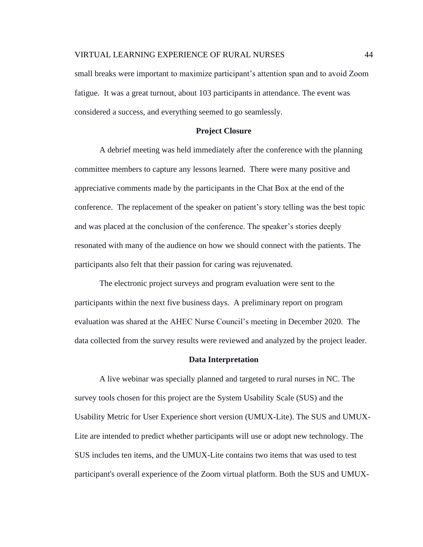small breaks were important to maximize participant's attention span and to avoid Zoom fatigue. It was a great turnout, about 103 participants in attendance. The event was considered a success, and everything seemed to go seamlessly.

#### **Project Closure**

A debrief meeting was held immediately after the conference with the planning committee members to capture any lessons learned. There were many positive and appreciative comments made by the participants in the Chat Box at the end of the conference. The replacement of the speaker on patient's story telling was the best topic and was placed at the conclusion of the conference. The speaker's stories deeply resonated with many of the audience on how we should connect with the patients. The participants also felt that their passion for caring was rejuvenated.

The electronic project surveys and program evaluation were sent to the participants within the next five business days. A preliminary report on program evaluation was shared at the AHEC Nurse Council's meeting in December 2020. The data collected from the survey results were reviewed and analyzed by the project leader.

#### **Data Interpretation**

A live webinar was specially planned and targeted to rural nurses in NC. The survey tools chosen for this project are the System Usability Scale (SUS) and the Usability Metric for User Experience short version (UMUX-Lite). The SUS and UMUX-Lite are intended to predict whether participants will use or adopt new technology. The SUS includes ten items, and the UMUX-Lite contains two items that was used to test participant's overall experience of the Zoom virtual platform. Both the SUS and UMUX-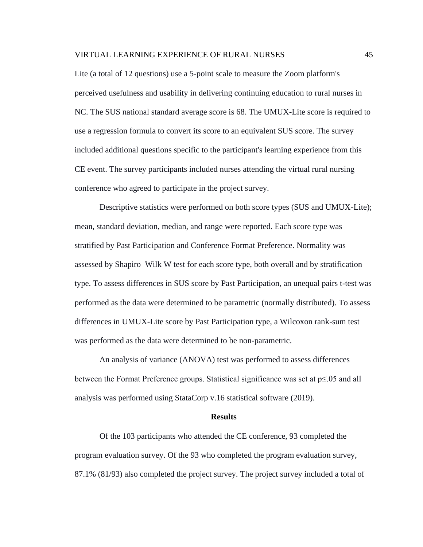Lite (a total of 12 questions) use a 5-point scale to measure the Zoom platform's perceived usefulness and usability in delivering continuing education to rural nurses in NC. The SUS national standard average score is 68. The UMUX-Lite score is required to use a regression formula to convert its score to an equivalent SUS score. The survey included additional questions specific to the participant's learning experience from this CE event. The survey participants included nurses attending the virtual rural nursing conference who agreed to participate in the project survey.

Descriptive statistics were performed on both score types (SUS and UMUX-Lite); mean, standard deviation, median, and range were reported. Each score type was stratified by Past Participation and Conference Format Preference. Normality was assessed by Shapiro–Wilk W test for each score type, both overall and by stratification type. To assess differences in SUS score by Past Participation, an unequal pairs t-test was performed as the data were determined to be parametric (normally distributed). To assess differences in UMUX-Lite score by Past Participation type, a Wilcoxon rank-sum test was performed as the data were determined to be non-parametric.

An analysis of variance (ANOVA) test was performed to assess differences between the Format Preference groups. Statistical significance was set at p≤.05 and all analysis was performed using StataCorp v.16 statistical software (2019).

#### **Results**

Of the 103 participants who attended the CE conference, 93 completed the program evaluation survey. Of the 93 who completed the program evaluation survey, 87.1% (81/93) also completed the project survey. The project survey included a total of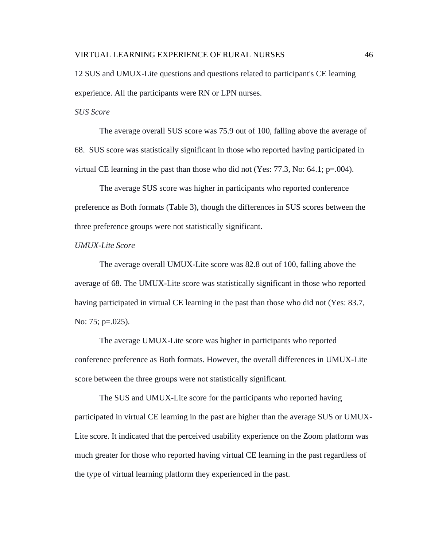12 SUS and UMUX-Lite questions and questions related to participant's CE learning experience. All the participants were RN or LPN nurses.

*SUS Score*

The average overall SUS score was 75.9 out of 100, falling above the average of 68. SUS score was statistically significant in those who reported having participated in virtual CE learning in the past than those who did not (Yes: 77.3, No: 64.1;  $p=.004$ ).

The average SUS score was higher in participants who reported conference preference as Both formats (Table 3), though the differences in SUS scores between the three preference groups were not statistically significant.

## *UMUX-Lite Score*

The average overall UMUX-Lite score was 82.8 out of 100, falling above the average of 68. The UMUX-Lite score was statistically significant in those who reported having participated in virtual CE learning in the past than those who did not (Yes: 83.7, No: 75; p=.025).

The average UMUX-Lite score was higher in participants who reported conference preference as Both formats. However, the overall differences in UMUX-Lite score between the three groups were not statistically significant.

The SUS and UMUX-Lite score for the participants who reported having participated in virtual CE learning in the past are higher than the average SUS or UMUX-Lite score. It indicated that the perceived usability experience on the Zoom platform was much greater for those who reported having virtual CE learning in the past regardless of the type of virtual learning platform they experienced in the past.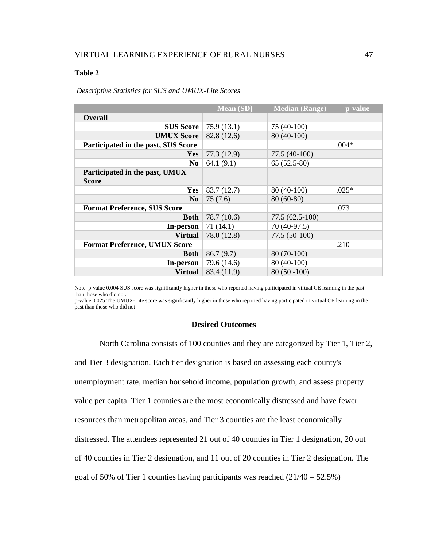## **Table 2**

## *Descriptive Statistics for SUS and UMUX-Lite Scores*

|                                                | <b>Mean (SD)</b> | <b>Median (Range)</b> | p-value |
|------------------------------------------------|------------------|-----------------------|---------|
| <b>Overall</b>                                 |                  |                       |         |
| <b>SUS Score</b>                               | 75.9(13.1)       | 75 (40-100)           |         |
| <b>UMUX Score</b>                              | 82.8 (12.6)      | 80 (40-100)           |         |
| Participated in the past, SUS Score            |                  |                       | $.004*$ |
| <b>Yes</b>                                     | 77.3 (12.9)      | 77.5 (40-100)         |         |
| N <sub>0</sub>                                 | 64.1(9.1)        | $65(52.5-80)$         |         |
| Participated in the past, UMUX<br><b>Score</b> |                  |                       |         |
| <b>Yes</b>                                     | 83.7 (12.7)      | 80 (40-100)           | $.025*$ |
| N <sub>0</sub>                                 | 75(7.6)          | $80(60-80)$           |         |
| <b>Format Preference, SUS Score</b>            |                  |                       | .073    |
| <b>Both</b>                                    | 78.7 (10.6)      | $77.5(62.5-100)$      |         |
| In-person                                      | 71 (14.1)        | 70 (40-97.5)          |         |
| <b>Virtual</b>                                 | 78.0 (12.8)      | 77.5 (50-100)         |         |
| <b>Format Preference, UMUX Score</b>           |                  |                       | .210    |
| <b>Both</b>                                    | 86.7(9.7)        | 80 (70-100)           |         |
| In-person                                      | 79.6 (14.6)      | 80 (40-100)           |         |
| <b>Virtual</b>                                 | 83.4 (11.9)      | $80(50-100)$          |         |

Note: p-value 0.004 SUS score was significantly higher in those who reported having participated in virtual CE learning in the past than those who did not.

p-value 0.025 The UMUX-Lite score was significantly higher in those who reported having participated in virtual CE learning in the past than those who did not.

### **Desired Outcomes**

North Carolina consists of 100 counties and they are categorized by Tier 1, Tier 2, and Tier 3 designation. Each tier designation is based on assessing each county's unemployment rate, median household income, population growth, and assess property value per capita. Tier 1 counties are the most economically distressed and have fewer resources than metropolitan areas, and Tier 3 counties are the least economically distressed. The attendees represented 21 out of 40 counties in Tier 1 designation, 20 out of 40 counties in Tier 2 designation, and 11 out of 20 counties in Tier 2 designation. The goal of 50% of Tier 1 counties having participants was reached  $(21/40 = 52.5\%)$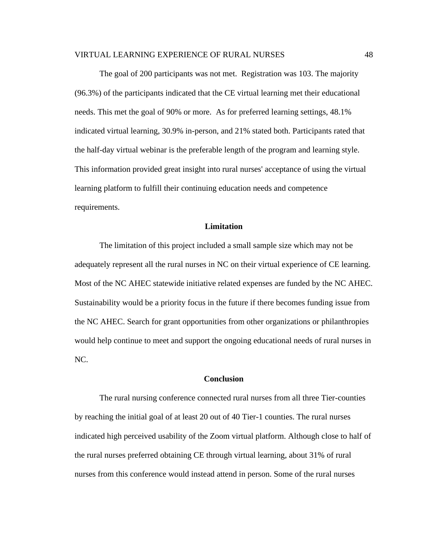The goal of 200 participants was not met. Registration was 103. The majority (96.3%) of the participants indicated that the CE virtual learning met their educational needs. This met the goal of 90% or more. As for preferred learning settings, 48.1% indicated virtual learning, 30.9% in-person, and 21% stated both. Participants rated that the half-day virtual webinar is the preferable length of the program and learning style. This information provided great insight into rural nurses' acceptance of using the virtual learning platform to fulfill their continuing education needs and competence requirements.

## **Limitation**

The limitation of this project included a small sample size which may not be adequately represent all the rural nurses in NC on their virtual experience of CE learning. Most of the NC AHEC statewide initiative related expenses are funded by the NC AHEC. Sustainability would be a priority focus in the future if there becomes funding issue from the NC AHEC. Search for grant opportunities from other organizations or philanthropies would help continue to meet and support the ongoing educational needs of rural nurses in NC.

## **Conclusion**

The rural nursing conference connected rural nurses from all three Tier-counties by reaching the initial goal of at least 20 out of 40 Tier-1 counties. The rural nurses indicated high perceived usability of the Zoom virtual platform. Although close to half of the rural nurses preferred obtaining CE through virtual learning, about 31% of rural nurses from this conference would instead attend in person. Some of the rural nurses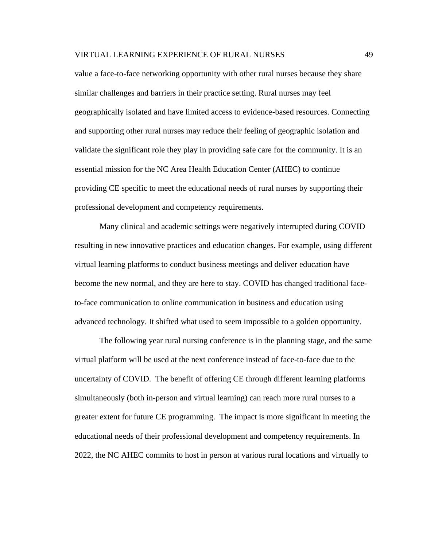value a face-to-face networking opportunity with other rural nurses because they share similar challenges and barriers in their practice setting. Rural nurses may feel geographically isolated and have limited access to evidence-based resources. Connecting and supporting other rural nurses may reduce their feeling of geographic isolation and validate the significant role they play in providing safe care for the community. It is an essential mission for the NC Area Health Education Center (AHEC) to continue providing CE specific to meet the educational needs of rural nurses by supporting their professional development and competency requirements.

Many clinical and academic settings were negatively interrupted during COVID resulting in new innovative practices and education changes. For example, using different virtual learning platforms to conduct business meetings and deliver education have become the new normal, and they are here to stay. COVID has changed traditional faceto-face communication to online communication in business and education using advanced technology. It shifted what used to seem impossible to a golden opportunity.

The following year rural nursing conference is in the planning stage, and the same virtual platform will be used at the next conference instead of face-to-face due to the uncertainty of COVID. The benefit of offering CE through different learning platforms simultaneously (both in-person and virtual learning) can reach more rural nurses to a greater extent for future CE programming. The impact is more significant in meeting the educational needs of their professional development and competency requirements. In 2022, the NC AHEC commits to host in person at various rural locations and virtually to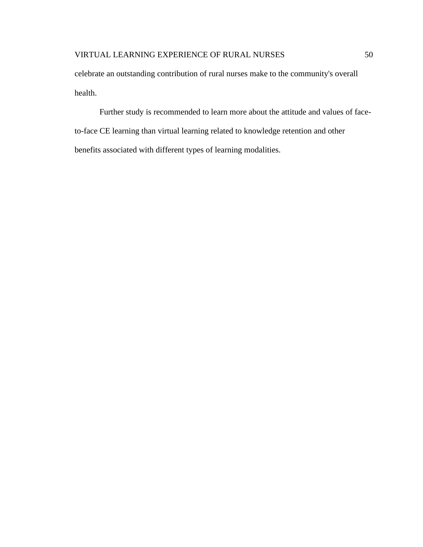celebrate an outstanding contribution of rural nurses make to the community's overall health.

Further study is recommended to learn more about the attitude and values of faceto-face CE learning than virtual learning related to knowledge retention and other benefits associated with different types of learning modalities.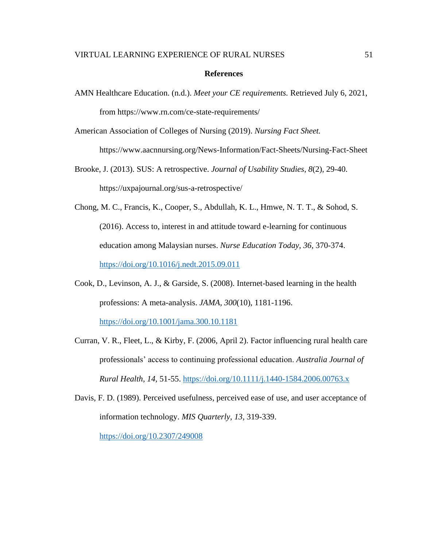### **References**

AMN Healthcare Education. (n.d.). *Meet your CE requirements.* Retrieved July 6, 2021, from https://www.rn.com/ce-state-requirements/

American Association of Colleges of Nursing (2019). *Nursing Fact Sheet.*

<https://www.aacnnursing.org/News-Information/Fact-Sheets/Nursing-Fact-Sheet>

Brooke, J. (2013). SUS: A retrospective. *Journal of Usability Studies*, *8*(2), 29-40. https://uxpajournal.org/sus-a-retrospective/

Chong, M. C., Francis, K., Cooper, S., Abdullah, K. L., Hmwe, N. T. T., & Sohod, S. (2016). Access to, interest in and attitude toward e-learning for continuous education among Malaysian nurses. *Nurse Education Today, 36*, 370-374. <https://doi.org/10.1016/j.nedt.2015.09.011>

- Cook, D., Levinson, A. J., & Garside, S. (2008). Internet-based learning in the health professions: A meta-analysis. *JAMA, 300*(10), 1181-1196. <https://doi.org/10.1001/jama.300.10.1181>
- Curran, V. R., Fleet, L., & Kirby, F. (2006, April 2). Factor influencing rural health care professionals' access to continuing professional education. *Australia Journal of Rural Health, 14,* 51-55. <https://doi.org/10.1111/j.1440-1584.2006.00763.x>

Davis, F. D. (1989). Perceived usefulness, perceived ease of use, and user acceptance of information technology. *MIS Quarterly, 13,* 319-339.

<https://doi.org/10.2307/249008>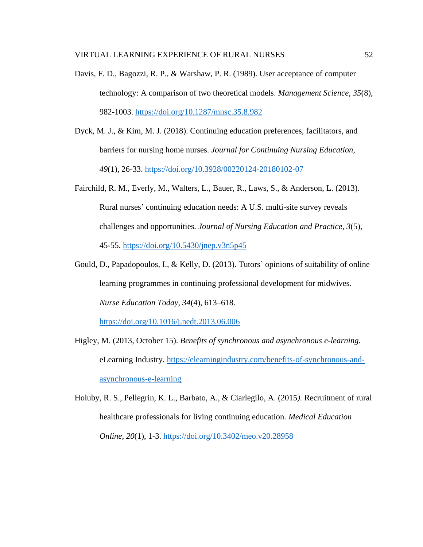- Davis, F. D., Bagozzi, R. P., & Warshaw, P. R. (1989). User acceptance of computer technology: A comparison of two theoretical models. *Management Science, 35*(8), 982-1003.<https://doi.org/10.1287/mnsc.35.8.982>
- Dyck, M. J., & Kim, M. J. (2018). Continuing education preferences, facilitators, and barriers for nursing home nurses. *Journal for Continuing Nursing Education, 49*(1), 26-33. <https://doi.org/10.3928/00220124-20180102-07>
- Fairchild, R. M., Everly, M., Walters, L., Bauer, R., Laws, S., & Anderson, L. (2013). Rural nurses' continuing education needs: A U.S. multi-site survey reveals challenges and opportunities*. Journal of Nursing Education and Practice, 3*(5), 45-55.<https://doi.org/10.5430/jnep.v3n5p45>
- Gould, D., Papadopoulos, I., & Kelly, D. (2013). Tutors' opinions of suitability of online learning programmes in continuing professional development for midwives. *Nurse Education Today, 34*(4), 613–618.

<https://doi.org/10.1016/j.nedt.2013.06.006>

- Higley, M. (2013, October 15). *Benefits of synchronous and asynchronous e-learning.* eLearning Industry. [https://elearningindustry.com/benefits-of-synchronous-and](https://elearningindustry.com/benefits-of-synchronous-and-asynchronous-e-learning)[asynchronous-e-learning](https://elearningindustry.com/benefits-of-synchronous-and-asynchronous-e-learning)
- Holuby, R. S., Pellegrin, K. L., Barbato, A., & Ciarlegilo, A. (2015*).* Recruitment of rural healthcare professionals for living continuing education. *Medical Education Online, 20*(1), 1-3.<https://doi.org/10.3402/meo.v20.28958>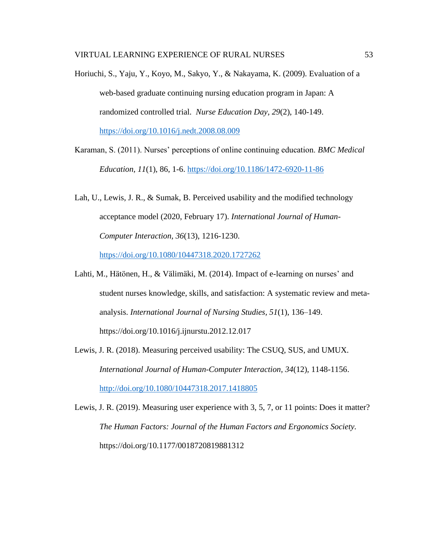- Horiuchi, S., Yaju, Y., Koyo, M., Sakyo, Y., & Nakayama, K. (2009). Evaluation of a web-based graduate continuing nursing education program in Japan: A randomized controlled trial. *Nurse Education Day, 29*(2), 140-149. <https://doi.org/10.1016/j.nedt.2008.08.009>
- Karaman, S. (2011). Nurses' perceptions of online continuing education. *BMC Medical Education, 11*(1), 86, 1-6.<https://doi.org/10.1186/1472-6920-11-86>
- Lah, U., Lewis, J. R., & Sumak, B. Perceived usability and the modified technology acceptance model (2020, February 17). *International Journal of Human-Computer Interaction, 36*(13), 1216-1230.

<https://doi.org/10.1080/10447318.2020.1727262>

- Lahti, M., Hätönen, H., & Välimäki, M. (2014). Impact of e-learning on nurses' and student nurses knowledge, skills, and satisfaction: A systematic review and metaanalysis. *International Journal of Nursing Studies, 51*(1), 136–149. https://doi.org/10.1016/j.ijnurstu.2012.12.017
- Lewis, J. R. (2018). Measuring perceived usability: The CSUQ, SUS, and UMUX. *International Journal of Human-Computer Interaction, 34*(12)*,* 1148-1156. <http://doi.org/10.1080/10447318.2017.1418805>
- Lewis, J. R. (2019). Measuring user experience with 3, 5, 7, or 11 points: Does it matter? *The Human Factors: Journal of the Human Factors and Ergonomics Society.*  https://doi.org/10.1177/0018720819881312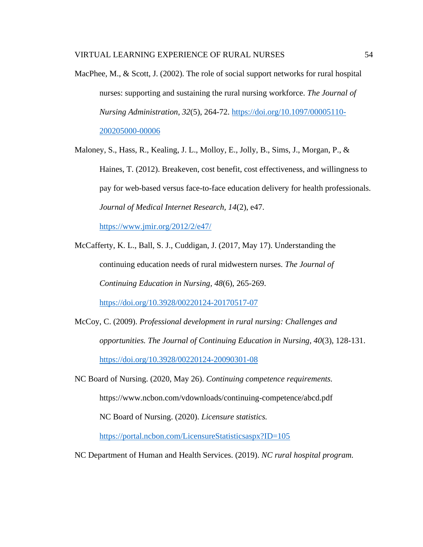MacPhee, M., & Scott, J. (2002). The role of social support networks for rural hospital nurses: supporting and sustaining the rural nursing workforce. *The Journal of Nursing Administration, 32*(5), 264-72. [https://doi.org/10.1097/00005110-](https://doi.org/10.1097/00005110-200205000-00006) [200205000-00006](https://doi.org/10.1097/00005110-200205000-00006)

Maloney, S., Hass, R., Kealing, J. L., Molloy, E., Jolly, B., Sims, J., Morgan, P., & Haines, T. (2012). Breakeven, cost benefit, cost effectiveness, and willingness to pay for web-based versus face-to-face education delivery for health professionals. *Journal of Medical Internet Research, 14*(2), e47.

<https://www.jmir.org/2012/2/e47/>

- McCafferty, K. L., Ball, S. J., Cuddigan, J. (2017, May 17). Understanding the continuing education needs of rural midwestern nurses. *The Journal of Continuing Education in Nursing, 48*(6), 265-269. <https://doi.org/10.3928/00220124-20170517-07>
- McCoy, C. (2009). *Professional development in rural nursing: Challenges and opportunities. The Journal of Continuing Education in Nursing, 40*(3), 128-131. <https://doi.org/10.3928/00220124-20090301-08>
- NC Board of Nursing. (2020, May 26). *Continuing competence requirements.* https://www.ncbon.com/vdownloads/continuing-competence/abcd.pdf NC Board of Nursing. (2020). *Licensure statistics.*

<https://portal.ncbon.com/LicensureStatisticsaspx?ID=105>

NC Department of Human and Health Services. (2019). *NC rural hospital program.*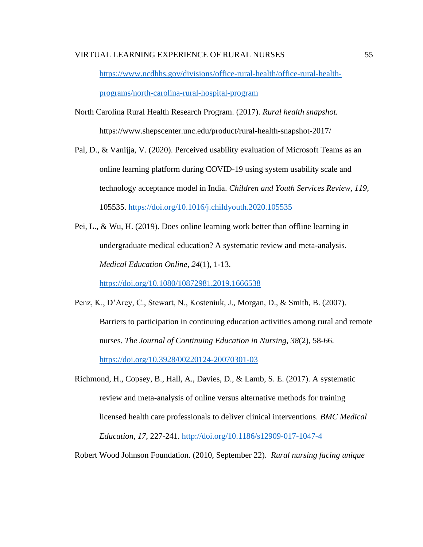[https://www.ncdhhs.gov/divisions/office-rural-health/office-rural-health](https://www.ncdhhs.gov/divisions/office-rural-health/office-rural-health-programs/north-carolina-rural-hospital-program)[programs/north-carolina-rural-hospital-program](https://www.ncdhhs.gov/divisions/office-rural-health/office-rural-health-programs/north-carolina-rural-hospital-program)

- North Carolina Rural Health Research Program. (2017). *Rural health snapshot.* <https://www.shepscenter.unc.edu/product/rural-health-snapshot-2017/>
- Pal, D., & Vanijja, V. (2020). Perceived usability evaluation of Microsoft Teams as an online learning platform during COVID-19 using system usability scale and technology acceptance model in India. *Children and Youth Services Review, 119,* 105535.<https://doi.org/10.1016/j.childyouth.2020.105535>
- Pei, L., & Wu, H. (2019). Does online learning work better than offline learning in undergraduate medical education? A systematic review and meta-analysis. *Medical Education Online, 24*(1), 1-13.

<https://doi.org/10.1080/10872981.2019.1666538>

- Penz, K., D'Arcy, C., Stewart, N., Kosteniuk, J., Morgan, D., & Smith, B. (2007). Barriers to participation in continuing education activities among rural and remote nurses. *The Journal of Continuing Education in Nursing, 38*(2), 58-66. <https://doi.org/10.3928/00220124-20070301-03>
- Richmond, H., Copsey, B., Hall, A., Davies, D., & Lamb, S. E. (2017). A systematic review and meta-analysis of online versus alternative methods for training licensed health care professionals to deliver clinical interventions. *BMC Medical Education, 17*, 227-241.<http://doi.org/10.1186/s12909-017-1047-4>

Robert Wood Johnson Foundation. (2010, September 22). *Rural nursing facing unique*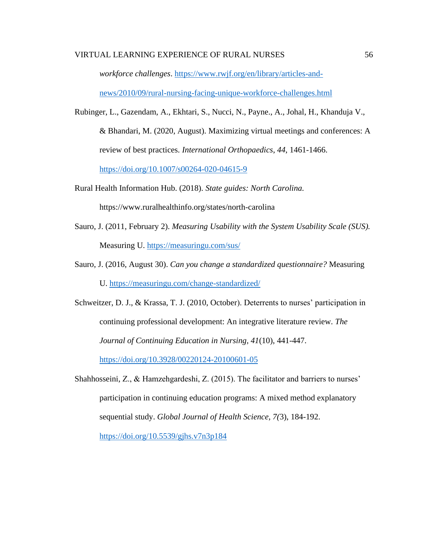*workforce challenges*. [https://www.rwjf.org/en/library/articles-and-](https://www.rwjf.org/en/library/articles-and-news/2010/09/rural-nursing-facing-unique-workforce-challenges.html)

[news/2010/09/rural-nursing-facing-unique-workforce-challenges.html](https://www.rwjf.org/en/library/articles-and-news/2010/09/rural-nursing-facing-unique-workforce-challenges.html)

- Rubinger, L., Gazendam, A., Ekhtari, S., Nucci, N., Payne., A., Johal, H., Khanduja V., & Bhandari, M. (2020, August). Maximizing virtual meetings and conferences: A review of best practices. *International Orthopaedics*, *44*, 1461-1466. <https://doi.org/10.1007/s00264-020-04615-9>
- Rural Health Information Hub. (2018). *State guides: North Carolina.* <https://www.ruralhealthinfo.org/states/north-carolina>
- Sauro, J. (2011, February 2). *Measuring Usability with the System Usability Scale (SUS).*  Measuring U.<https://measuringu.com/sus/>
- Sauro, J. (2016, August 30). *Can you change a standardized questionnaire?* Measuring U. <https://measuringu.com/change-standardized/>
- Schweitzer, D. J., & Krassa, T. J. (2010, October). Deterrents to nurses' participation in continuing professional development: An integrative literature review. *The Journal of Continuing Education in Nursing, 41*(10), 441-447. <https://doi.org/10.3928/00220124-20100601-05>
- Shahhosseini, Z., & Hamzehgardeshi, Z. (2015). The facilitator and barriers to nurses' participation in continuing education programs: A mixed method explanatory sequential study. *Global Journal of Health Science, 7(*3), 184-192.

<https://doi.org/10.5539/gjhs.v7n3p184>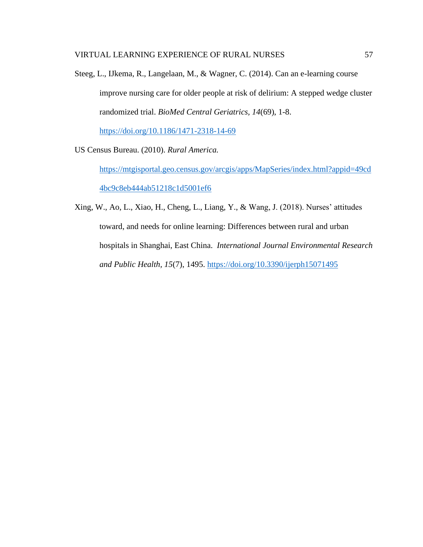Steeg, L., IJkema, R., Langelaan, M., & Wagner, C. (2014). Can an e-learning course improve nursing care for older people at risk of delirium: A stepped wedge cluster randomized trial. *BioMed Central Geriatrics, 14*(69), 1-8.

<https://doi.org/10.1186/1471-2318-14-69>

US Census Bureau. (2010). *Rural America.*

[https://mtgisportal.geo.census.gov/arcgis/apps/MapSeries/index.html?appid=49cd](https://mtgisportal.geo.census.gov/arcgis/apps/MapSeries/index.html?appid=49cd4bc9c8eb444ab51218c1d5001ef6) [4bc9c8eb444ab51218c1d5001ef6](https://mtgisportal.geo.census.gov/arcgis/apps/MapSeries/index.html?appid=49cd4bc9c8eb444ab51218c1d5001ef6)

Xing, W., Ao, L., Xiao, H., Cheng, L., Liang, Y., & Wang, J. (2018). Nurses' attitudes toward, and needs for online learning: Differences between rural and urban hospitals in Shanghai, East China. *International Journal Environmental Research and Public Health, 15*(7), 1495.<https://doi.org/10.3390/ijerph15071495>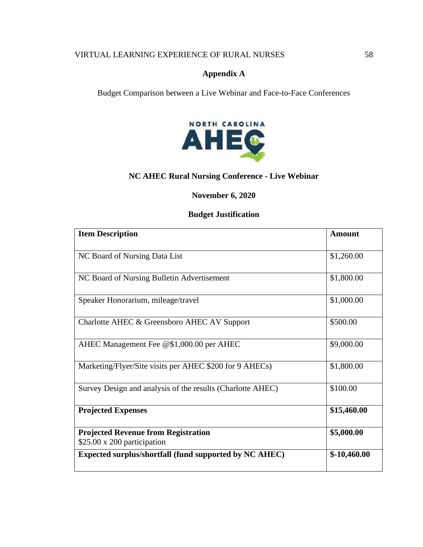# **Appendix A**

Budget Comparison between a Live Webinar and Face-to-Face Conferences

![](_page_61_Picture_3.jpeg)

# **NC AHEC Rural Nursing Conference - Live Webinar**

# **November 6, 2020**

# **Budget Justification**

| <b>Item Description</b>                                                         | <b>Amount</b> |
|---------------------------------------------------------------------------------|---------------|
|                                                                                 |               |
| NC Board of Nursing Data List                                                   | \$1,260.00    |
| NC Board of Nursing Bulletin Advertisement                                      | \$1,800.00    |
| Speaker Honorarium, mileage/travel                                              | \$1,000.00    |
| Charlotte AHEC & Greensboro AHEC AV Support                                     | \$500.00      |
| AHEC Management Fee @\$1,000.00 per AHEC                                        | \$9,000.00    |
| Marketing/Flyer/Site visits per AHEC \$200 for 9 AHECs)                         | \$1,800.00    |
| Survey Design and analysis of the results (Charlotte AHEC)                      | \$100.00      |
| <b>Projected Expenses</b>                                                       | \$15,460.00   |
| <b>Projected Revenue from Registration</b><br>$$25.00 \times 200$ participation | \$5,000.00    |
| Expected surplus/shortfall (fund supported by NC AHEC)                          | $$-10,460.00$ |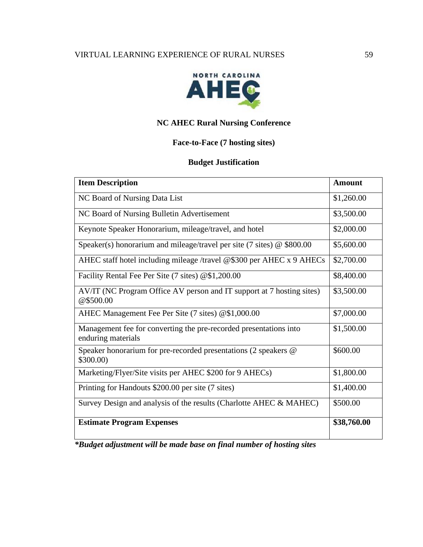![](_page_62_Picture_1.jpeg)

# **NC AHEC Rural Nursing Conference**

# **Face-to-Face (7 hosting sites)**

# **Budget Justification**

| <b>Item Description</b>                                                                 | <b>Amount</b> |
|-----------------------------------------------------------------------------------------|---------------|
| NC Board of Nursing Data List                                                           | \$1,260.00    |
| NC Board of Nursing Bulletin Advertisement                                              | \$3,500.00    |
| Keynote Speaker Honorarium, mileage/travel, and hotel                                   | \$2,000.00    |
| Speaker(s) honorarium and mileage/travel per site (7 sites) $\omega$ \$800.00           | \$5,600.00    |
| AHEC staff hotel including mileage /travel $@$300$ per AHEC x 9 AHECs                   | \$2,700.00    |
| Facility Rental Fee Per Site (7 sites) @\$1,200.00                                      | \$8,400.00    |
| AV/IT (NC Program Office AV person and IT support at 7 hosting sites)<br>@\$500.00      | \$3,500.00    |
| AHEC Management Fee Per Site (7 sites) @\$1,000.00                                      | \$7,000.00    |
| Management fee for converting the pre-recorded presentations into<br>enduring materials | \$1,500.00    |
| Speaker honorarium for pre-recorded presentations (2 speakers @<br>\$300.00             | \$600.00      |
| Marketing/Flyer/Site visits per AHEC \$200 for 9 AHECs)                                 | \$1,800.00    |
| Printing for Handouts \$200.00 per site (7 sites)                                       | \$1,400.00    |
| Survey Design and analysis of the results (Charlotte AHEC & MAHEC)                      | \$500.00      |
| <b>Estimate Program Expenses</b>                                                        | \$38,760.00   |

*\*Budget adjustment will be made base on final number of hosting sites*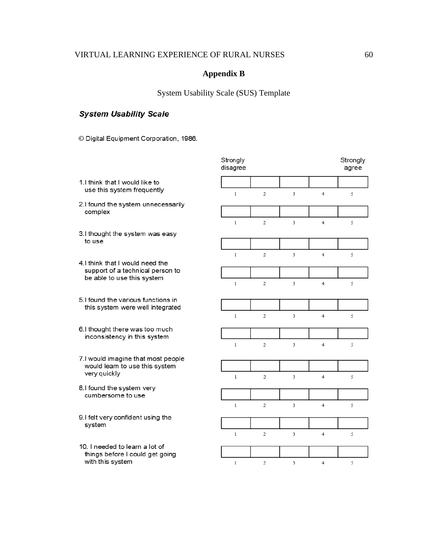# **Appendix B**

# System Usability Scale (SUS) Template

# **System Usability Scale**

© Digital Equipment Corporation, 1986.

|                                                                                                                                                 | Strongly<br>disagree |                |                         |                         | Strongly<br>agree |
|-------------------------------------------------------------------------------------------------------------------------------------------------|----------------------|----------------|-------------------------|-------------------------|-------------------|
| 1. I think that I would like to<br>use this system frequently<br>2.I found the system unnecessarily<br>complex                                  |                      |                |                         |                         |                   |
|                                                                                                                                                 | $\mathbf{1}$         | $\mathbf{2}$   | 3                       | $\overline{4}$          | 5                 |
|                                                                                                                                                 |                      |                |                         |                         |                   |
|                                                                                                                                                 | $\mathbf{1}$         | $\overline{c}$ | $\overline{\mathbf{3}}$ | $\overline{4}$          | 5                 |
| 3.I thought the system was easy<br>to use<br>4. I think that I would need the<br>support of a technical person to<br>be able to use this system |                      |                |                         |                         |                   |
|                                                                                                                                                 | $\mathbf{1}$         | $\mathfrak{2}$ | 3                       | $\overline{4}$          | 5                 |
|                                                                                                                                                 |                      |                |                         |                         |                   |
|                                                                                                                                                 | $\mathbf{1}$         | $\overline{2}$ | 3                       | $\overline{4}$          | 5                 |
| 5. Found the various functions in<br>this system were well integrated                                                                           |                      |                |                         |                         |                   |
|                                                                                                                                                 | $\mathbf{1}$         | $\overline{2}$ | 3                       | $\overline{4}$          | 5                 |
| 6.I thought there was too much<br>inconsistency in this system                                                                                  |                      |                |                         |                         |                   |
|                                                                                                                                                 | $\mathbf{1}$         | $\overline{2}$ | 3                       | $\overline{4}$          | 5                 |
| 7.I would imagine that most people<br>would leam to use this system<br>very quickly                                                             |                      |                |                         |                         |                   |
|                                                                                                                                                 | $\mathbf{1}$         | $\overline{c}$ | 3                       | $\overline{\mathbf{4}}$ | 5                 |
| 8.I found the system very<br>cumbersome to use                                                                                                  |                      |                |                         |                         |                   |
|                                                                                                                                                 | $\mathbf{1}$         | $\mathbf{2}$   | 3                       | $\overline{4}$          | 5                 |
| 9.I felt very confident using the<br>system                                                                                                     |                      |                |                         |                         |                   |
|                                                                                                                                                 | $\mathbf{1}$         | $\overline{2}$ | 3                       | $\overline{4}$          | 5                 |
| 10. I needed to learn a lot of<br>things before I could get going<br>with this system                                                           |                      |                |                         |                         |                   |
|                                                                                                                                                 |                      |                |                         |                         |                   |
|                                                                                                                                                 | $\mathbf{1}$         | $\overline{2}$ | 3                       | $\overline{4}$          | 5                 |